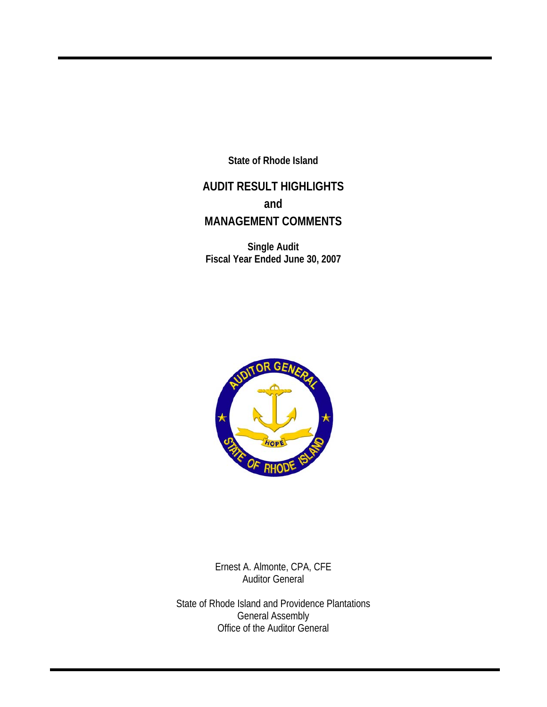**State of Rhode Island** 

## **AUDIT RESULT HIGHLIGHTS and MANAGEMENT COMMENTS**

**Single Audit Fiscal Year Ended June 30, 2007** 



Ernest A. Almonte, CPA, CFE Auditor General

State of Rhode Island and Providence Plantations General Assembly Office of the Auditor General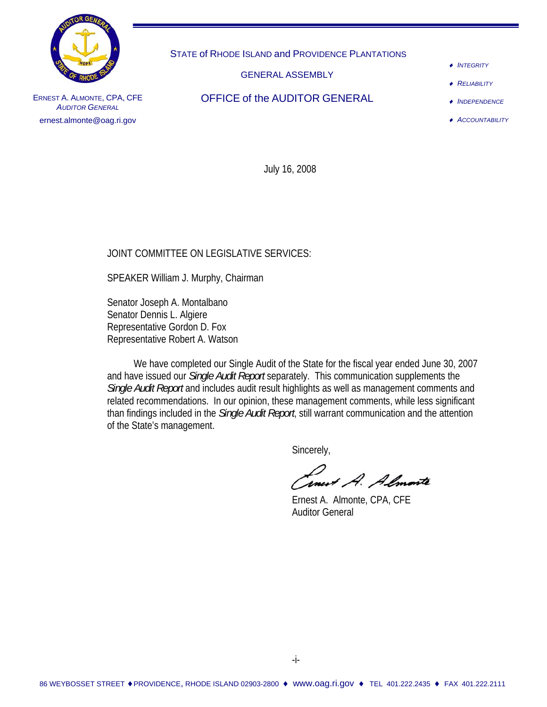

STATE of RHODE ISLAND and PROVIDENCE PLANTATIONS

GENERAL ASSEMBLY

OFFICE of the AUDITOR GENERAL

♦ *INTEGRITY*

♦ *RELIABILITY*

♦ *INDEPENDENCE*

♦ *ACCOUNTABILITY*

ERNEST A. ALMONTE, CPA, CFE **AUDITOR GENERAL** ernest.almonte@oag.ri.gov

July 16, 2008

### JOINT COMMITTEE ON LEGISLATIVE SERVICES:

SPEAKER William J. Murphy, Chairman

Senator Joseph A. Montalbano Senator Dennis L. Algiere Representative Gordon D. Fox Representative Robert A. Watson

 We have completed our Single Audit of the State for the fiscal year ended June 30, 2007 and have issued our *Single Audit Report* separately. This communication supplements the *Single Audit Report* and includes audit result highlights as well as management comments and related recommendations. In our opinion, these management comments, while less significant than findings included in the *Single Audit Report*, still warrant communication and the attention of the State's management.

Sincerely,

Cancert A. Almonte<br>Ernest A. Almonte, CPA, CFE

Auditor General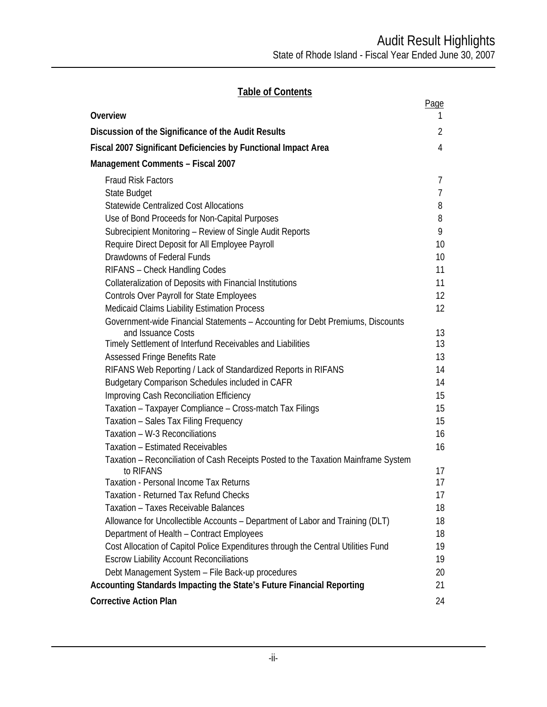## **Table of Contents**

|                                                                                    | Page           |
|------------------------------------------------------------------------------------|----------------|
| Overview                                                                           | Τ              |
| Discussion of the Significance of the Audit Results                                | 2              |
| Fiscal 2007 Significant Deficiencies by Functional Impact Area                     | $\overline{4}$ |
| Management Comments - Fiscal 2007                                                  |                |
| <b>Fraud Risk Factors</b>                                                          | 7              |
| State Budget                                                                       | $\overline{7}$ |
| <b>Statewide Centralized Cost Allocations</b>                                      | 8              |
| Use of Bond Proceeds for Non-Capital Purposes                                      | 8              |
| Subrecipient Monitoring - Review of Single Audit Reports                           | 9              |
| Require Direct Deposit for All Employee Payroll                                    | 10             |
| Drawdowns of Federal Funds                                                         | 10             |
| RIFANS - Check Handling Codes                                                      | 11             |
| Collateralization of Deposits with Financial Institutions                          | 11             |
| <b>Controls Over Payroll for State Employees</b>                                   | 12             |
| <b>Medicaid Claims Liability Estimation Process</b>                                | 12             |
| Government-wide Financial Statements - Accounting for Debt Premiums, Discounts     |                |
| and Issuance Costs                                                                 | 13             |
| Timely Settlement of Interfund Receivables and Liabilities                         | 13             |
| <b>Assessed Fringe Benefits Rate</b>                                               | 13             |
| RIFANS Web Reporting / Lack of Standardized Reports in RIFANS                      | 14             |
| Budgetary Comparison Schedules included in CAFR                                    | 14             |
| Improving Cash Reconciliation Efficiency                                           | 15             |
| Taxation - Taxpayer Compliance - Cross-match Tax Filings                           | 15             |
| Taxation - Sales Tax Filing Frequency                                              | 15             |
| Taxation - W-3 Reconciliations                                                     | 16             |
| <b>Taxation - Estimated Receivables</b>                                            | 16             |
| Taxation - Reconciliation of Cash Receipts Posted to the Taxation Mainframe System |                |
| to RIFANS<br><b>Taxation - Personal Income Tax Returns</b>                         | 17<br>17       |
| Taxation - Returned Tax Refund Checks                                              | 17             |
| Taxation - Taxes Receivable Balances                                               | 18             |
| Allowance for Uncollectible Accounts - Department of Labor and Training (DLT)      | 18             |
| Department of Health - Contract Employees                                          | 18             |
| Cost Allocation of Capitol Police Expenditures through the Central Utilities Fund  | 19             |
| <b>Escrow Liability Account Reconciliations</b>                                    | 19             |
| Debt Management System - File Back-up procedures                                   | 20             |
| Accounting Standards Impacting the State's Future Financial Reporting              | 21             |
| <b>Corrective Action Plan</b>                                                      | 24             |
|                                                                                    |                |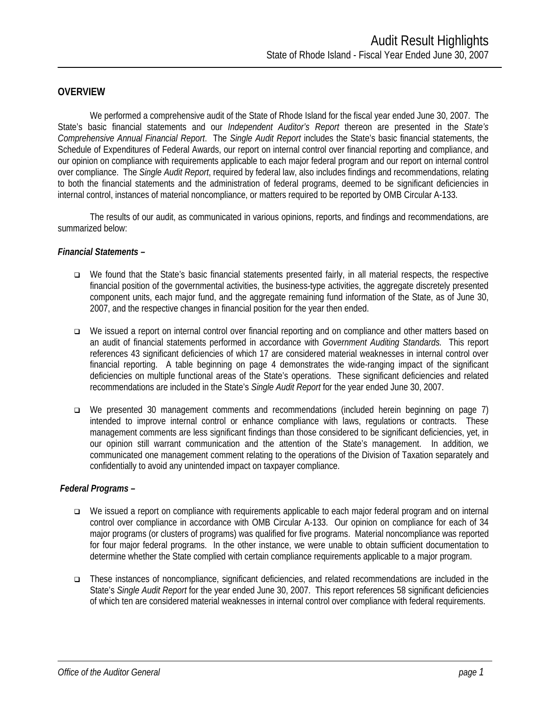#### **OVERVIEW**

 We performed a comprehensive audit of the State of Rhode Island for the fiscal year ended June 30, 2007. The State's basic financial statements and our *Independent Auditor's Report* thereon are presented in the *State's Comprehensive Annual Financial Report*. The *Single Audit Report* includes the State's basic financial statements, the Schedule of Expenditures of Federal Awards, our report on internal control over financial reporting and compliance, and our opinion on compliance with requirements applicable to each major federal program and our report on internal control over compliance. The *Single Audit Report*, required by federal law, also includes findings and recommendations, relating to both the financial statements and the administration of federal programs, deemed to be significant deficiencies in internal control, instances of material noncompliance, or matters required to be reported by OMB Circular A-133.

The results of our audit, as communicated in various opinions, reports, and findings and recommendations, are summarized below:

#### *Financial Statements –*

- We found that the State's basic financial statements presented fairly, in all material respects, the respective financial position of the governmental activities, the business-type activities, the aggregate discretely presented component units, each major fund, and the aggregate remaining fund information of the State, as of June 30, 2007, and the respective changes in financial position for the year then ended.
- We issued a report on internal control over financial reporting and on compliance and other matters based on an audit of financial statements performed in accordance with *Government Auditing Standards.* This report references 43 significant deficiencies of which 17 are considered material weaknesses in internal control over financial reporting. A table beginning on page 4 demonstrates the wide-ranging impact of the significant deficiencies on multiple functional areas of the State's operations. These significant deficiencies and related recommendations are included in the State's *Single Audit Report* for the year ended June 30, 2007.
- We presented 30 management comments and recommendations (included herein beginning on page 7) intended to improve internal control or enhance compliance with laws, regulations or contracts. These management comments are less significant findings than those considered to be significant deficiencies, yet, in our opinion still warrant communication and the attention of the State's management. In addition, we communicated one management comment relating to the operations of the Division of Taxation separately and confidentially to avoid any unintended impact on taxpayer compliance.

#### *Federal Programs –*

- We issued a report on compliance with requirements applicable to each major federal program and on internal control over compliance in accordance with OMB Circular A-133. Our opinion on compliance for each of 34 major programs (or clusters of programs) was qualified for five programs. Material noncompliance was reported for four major federal programs. In the other instance, we were unable to obtain sufficient documentation to determine whether the State complied with certain compliance requirements applicable to a major program.
- These instances of noncompliance, significant deficiencies, and related recommendations are included in the State's *Single Audit Report* for the year ended June 30, 2007. This report references 58 significant deficiencies of which ten are considered material weaknesses in internal control over compliance with federal requirements.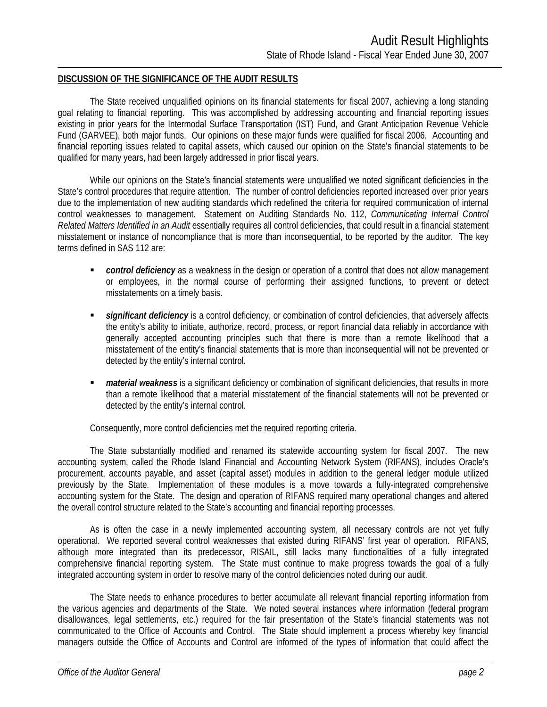#### **DISCUSSION OF THE SIGNIFICANCE OF THE AUDIT RESULTS**

The State received unqualified opinions on its financial statements for fiscal 2007, achieving a long standing goal relating to financial reporting. This was accomplished by addressing accounting and financial reporting issues existing in prior years for the Intermodal Surface Transportation (IST) Fund, and Grant Anticipation Revenue Vehicle Fund (GARVEE), both major funds. Our opinions on these major funds were qualified for fiscal 2006. Accounting and financial reporting issues related to capital assets, which caused our opinion on the State's financial statements to be qualified for many years, had been largely addressed in prior fiscal years.

While our opinions on the State's financial statements were unqualified we noted significant deficiencies in the State's control procedures that require attention. The number of control deficiencies reported increased over prior years due to the implementation of new auditing standards which redefined the criteria for required communication of internal control weaknesses to management. Statement on Auditing Standards No. 112, *Communicating Internal Control Related Matters Identified in an Audit* essentially requires all control deficiencies, that could result in a financial statement misstatement or instance of noncompliance that is more than inconsequential, to be reported by the auditor. The key terms defined in SAS 112 are:

- **Control deficiency** as a weakness in the design or operation of a control that does not allow management or employees, in the normal course of performing their assigned functions, to prevent or detect misstatements on a timely basis.
- **significant deficiency** is a control deficiency, or combination of control deficiencies, that adversely affects the entity's ability to initiate, authorize, record, process, or report financial data reliably in accordance with generally accepted accounting principles such that there is more than a remote likelihood that a misstatement of the entity's financial statements that is more than inconsequential will not be prevented or detected by the entity's internal control.
- *material weakness* is a significant deficiency or combination of significant deficiencies, that results in more than a remote likelihood that a material misstatement of the financial statements will not be prevented or detected by the entity's internal control.

Consequently, more control deficiencies met the required reporting criteria.

The State substantially modified and renamed its statewide accounting system for fiscal 2007. The new accounting system, called the Rhode Island Financial and Accounting Network System (RIFANS), includes Oracle's procurement, accounts payable, and asset (capital asset) modules in addition to the general ledger module utilized previously by the State. Implementation of these modules is a move towards a fully-integrated comprehensive accounting system for the State. The design and operation of RIFANS required many operational changes and altered the overall control structure related to the State's accounting and financial reporting processes.

As is often the case in a newly implemented accounting system, all necessary controls are not yet fully operational. We reported several control weaknesses that existed during RIFANS' first year of operation. RIFANS, although more integrated than its predecessor, RISAIL, still lacks many functionalities of a fully integrated comprehensive financial reporting system. The State must continue to make progress towards the goal of a fully integrated accounting system in order to resolve many of the control deficiencies noted during our audit.

The State needs to enhance procedures to better accumulate all relevant financial reporting information from the various agencies and departments of the State. We noted several instances where information (federal program disallowances, legal settlements, etc.) required for the fair presentation of the State's financial statements was not communicated to the Office of Accounts and Control. The State should implement a process whereby key financial managers outside the Office of Accounts and Control are informed of the types of information that could affect the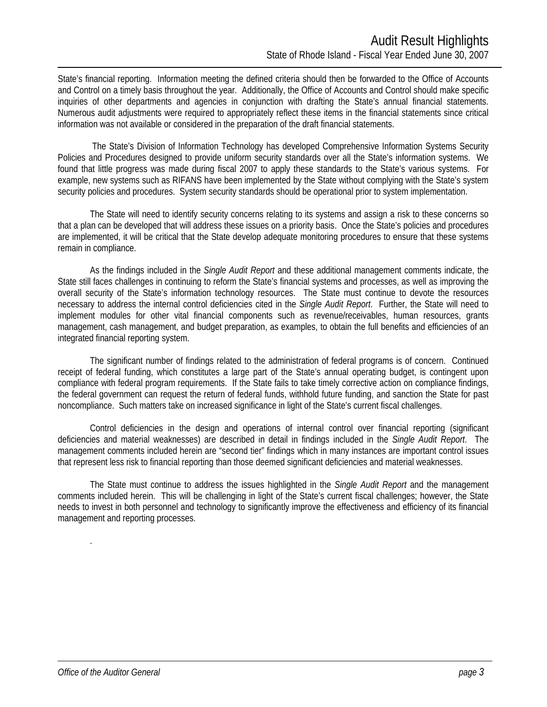State's financial reporting. Information meeting the defined criteria should then be forwarded to the Office of Accounts and Control on a timely basis throughout the year. Additionally, the Office of Accounts and Control should make specific inquiries of other departments and agencies in conjunction with drafting the State's annual financial statements. Numerous audit adjustments were required to appropriately reflect these items in the financial statements since critical information was not available or considered in the preparation of the draft financial statements.

 The State's Division of Information Technology has developed Comprehensive Information Systems Security Policies and Procedures designed to provide uniform security standards over all the State's information systems. We found that little progress was made during fiscal 2007 to apply these standards to the State's various systems. For example, new systems such as RIFANS have been implemented by the State without complying with the State's system security policies and procedures. System security standards should be operational prior to system implementation.

The State will need to identify security concerns relating to its systems and assign a risk to these concerns so that a plan can be developed that will address these issues on a priority basis. Once the State's policies and procedures are implemented, it will be critical that the State develop adequate monitoring procedures to ensure that these systems remain in compliance.

As the findings included in the *Single Audit Report* and these additional management comments indicate, the State still faces challenges in continuing to reform the State's financial systems and processes, as well as improving the overall security of the State's information technology resources. The State must continue to devote the resources necessary to address the internal control deficiencies cited in the *Single Audit Report*. Further, the State will need to implement modules for other vital financial components such as revenue/receivables, human resources, grants management, cash management, and budget preparation, as examples, to obtain the full benefits and efficiencies of an integrated financial reporting system.

The significant number of findings related to the administration of federal programs is of concern. Continued receipt of federal funding, which constitutes a large part of the State's annual operating budget, is contingent upon compliance with federal program requirements. If the State fails to take timely corrective action on compliance findings, the federal government can request the return of federal funds, withhold future funding, and sanction the State for past noncompliance. Such matters take on increased significance in light of the State's current fiscal challenges.

Control deficiencies in the design and operations of internal control over financial reporting (significant deficiencies and material weaknesses) are described in detail in findings included in the *Single Audit Report*. The management comments included herein are "second tier" findings which in many instances are important control issues that represent less risk to financial reporting than those deemed significant deficiencies and material weaknesses.

The State must continue to address the issues highlighted in the *Single Audit Report* and the management comments included herein. This will be challenging in light of the State's current fiscal challenges; however, the State needs to invest in both personnel and technology to significantly improve the effectiveness and efficiency of its financial management and reporting processes.

.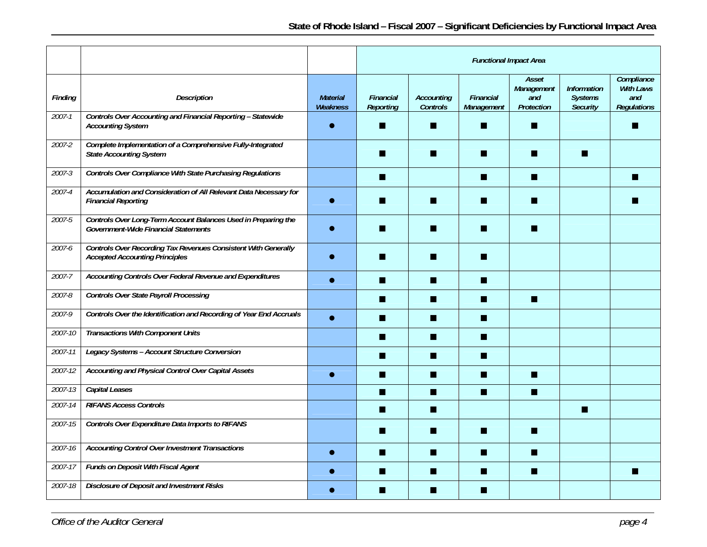|            |                                                                                                                |                             | <b>Functional Impact Area</b> |                                      |                         |                                          |                                                         |                                                             |
|------------|----------------------------------------------------------------------------------------------------------------|-----------------------------|-------------------------------|--------------------------------------|-------------------------|------------------------------------------|---------------------------------------------------------|-------------------------------------------------------------|
| Finding    | <b>Description</b>                                                                                             | <b>Material</b><br>Weakness | Financial<br><b>Reporting</b> | <b>Accounting</b><br><b>Controls</b> | Financial<br>Management | Asset<br>Management<br>and<br>Protection | <b>Information</b><br><b>Systems</b><br><b>Security</b> | Compliance<br><b>With Laws</b><br>and<br><b>Regulations</b> |
| $2007 - 1$ | Controls Over Accounting and Financial Reporting - Statewide<br><b>Accounting System</b>                       |                             |                               |                                      | ш                       | П                                        |                                                         |                                                             |
| 2007-2     | Complete Implementation of a Comprehensive Fully-Integrated<br><b>State Accounting System</b>                  |                             |                               | ■                                    | m                       | П                                        |                                                         |                                                             |
| $2007 - 3$ | <b>Controls Over Compliance With State Purchasing Regulations</b>                                              |                             | П                             |                                      | n                       | П                                        |                                                         |                                                             |
| 2007-4     | Accumulation and Consideration of All Relevant Data Necessary for<br><b>Financial Reporting</b>                |                             | ■                             | Ш                                    | m                       | n                                        |                                                         |                                                             |
| 2007-5     | Controls Over Long-Term Account Balances Used in Preparing the<br>Government-Wide Financial Statements         |                             |                               |                                      | m                       | ▬                                        |                                                         |                                                             |
| 2007-6     | <b>Controls Over Recording Tax Revenues Consistent With Generally</b><br><b>Accepted Accounting Principles</b> |                             |                               |                                      | ш                       |                                          |                                                         |                                                             |
| $2007 - 7$ | Accounting Controls Over Federal Revenue and Expenditures                                                      |                             | ш                             | П                                    | n                       |                                          |                                                         |                                                             |
| 2007-8     | <b>Controls Over State Payroll Processing</b>                                                                  |                             | ■                             |                                      | п                       | п                                        |                                                         |                                                             |
| 2007-9     | Controls Over the Identification and Recording of Year End Accruals                                            |                             | П                             | Ш                                    | n                       |                                          |                                                         |                                                             |
| 2007-10    | <b>Transactions With Component Units</b>                                                                       |                             | ш                             | ш                                    | n                       |                                          |                                                         |                                                             |
| 2007-11    | Legacy Systems - Account Structure Conversion                                                                  |                             | ш                             | ш                                    | ш                       |                                          |                                                         |                                                             |
| 2007-12    | Accounting and Physical Control Over Capital Assets                                                            |                             | П                             | ш                                    | n                       | n                                        |                                                         |                                                             |
| 2007-13    | <b>Capital Leases</b>                                                                                          |                             | П                             | $\blacksquare$                       | П                       | $\blacksquare$                           |                                                         |                                                             |
| 2007-14    | <b>RIFANS Access Controls</b>                                                                                  |                             | П                             | П                                    |                         |                                          | п                                                       |                                                             |
| 2007-15    | Controls Over Expenditure Data Imports to RIFANS                                                               |                             |                               |                                      | m.                      | П                                        |                                                         |                                                             |
| 2007-16    | <b>Accounting Control Over Investment Transactions</b>                                                         |                             | П                             | П                                    | п                       | П                                        |                                                         |                                                             |
| 2007-17    | <b>Funds on Deposit With Fiscal Agent</b>                                                                      |                             | ■                             | ш                                    | n                       | n                                        |                                                         |                                                             |
| 2007-18    | <b>Disclosure of Deposit and Investment Risks</b>                                                              |                             |                               | ▅                                    | m                       |                                          |                                                         |                                                             |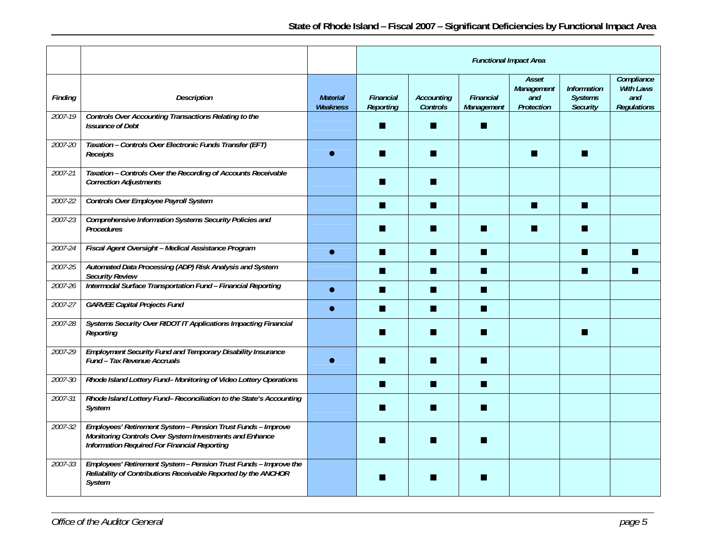|         |                                                                                                                                                                         |                             | <b>Functional Impact Area</b> |                               |                                |                                          |                                                         |                                                             |
|---------|-------------------------------------------------------------------------------------------------------------------------------------------------------------------------|-----------------------------|-------------------------------|-------------------------------|--------------------------------|------------------------------------------|---------------------------------------------------------|-------------------------------------------------------------|
| Finding | <b>Description</b>                                                                                                                                                      | <b>Material</b><br>Weakness | Financial<br>Reporting        | <b>Accounting</b><br>Controls | <b>Financial</b><br>Management | Asset<br>Management<br>and<br>Protection | <b>Information</b><br><b>Systems</b><br><b>Security</b> | Compliance<br><b>With Laws</b><br>and<br><b>Regulations</b> |
| 2007-19 | Controls Over Accounting Transactions Relating to the<br><b>Issuance of Debt</b>                                                                                        |                             |                               |                               | ш                              |                                          |                                                         |                                                             |
| 2007-20 | Taxation - Controls Over Electronic Funds Transfer (EFT)<br>Receipts                                                                                                    |                             |                               |                               |                                |                                          |                                                         |                                                             |
| 2007-21 | Taxation - Controls Over the Recording of Accounts Receivable<br><b>Correction Adjustments</b>                                                                          |                             | ■                             | ш                             |                                |                                          |                                                         |                                                             |
| 2007-22 | Controls Over Employee Payroll System                                                                                                                                   |                             | ш                             | П                             |                                | П                                        | ш                                                       |                                                             |
| 2007-23 | Comprehensive Information Systems Security Policies and<br><b>Procedures</b>                                                                                            |                             |                               |                               |                                |                                          |                                                         |                                                             |
| 2007-24 | Fiscal Agent Oversight - Medical Assistance Program                                                                                                                     |                             | ш                             | ш                             | П                              |                                          | ш                                                       |                                                             |
| 2007-25 | Automated Data Processing (ADP) Risk Analysis and System<br><b>Security Review</b>                                                                                      |                             |                               | П                             | n                              |                                          |                                                         |                                                             |
| 2007-26 | Intermodal Surface Transportation Fund - Financial Reporting                                                                                                            |                             | ш                             | П                             | n                              |                                          |                                                         |                                                             |
| 2007-27 | <b>GARVEE Capital Projects Fund</b>                                                                                                                                     |                             | ш                             | Ш                             | n                              |                                          |                                                         |                                                             |
| 2007-28 | Systems Security Over RIDOT IT Applications Impacting Financial<br>Reporting                                                                                            |                             | ш                             | ш                             | m                              |                                          | w                                                       |                                                             |
| 2007-29 | <b>Employment Security Fund and Temporary Disability Insurance</b><br><b>Fund - Tax Revenue Accruals</b>                                                                |                             |                               |                               | ш                              |                                          |                                                         |                                                             |
| 2007-30 | Rhode Island Lottery Fund-Monitoring of Video Lottery Operations                                                                                                        |                             | ш                             | ш                             | п                              |                                          |                                                         |                                                             |
| 2007-31 | Rhode Island Lottery Fund- Reconciliation to the State's Accounting<br>System                                                                                           |                             |                               |                               | m                              |                                          |                                                         |                                                             |
| 2007-32 | Employees' Retirement System - Pension Trust Funds - Improve<br>Monitoring Controls Over System Investments and Enhance<br>Information Required For Financial Reporting |                             |                               |                               |                                |                                          |                                                         |                                                             |
| 2007-33 | Employees' Retirement System - Pension Trust Funds - Improve the<br>Reliability of Contributions Receivable Reported by the ANCHOR<br>System                            |                             |                               |                               | ш                              |                                          |                                                         |                                                             |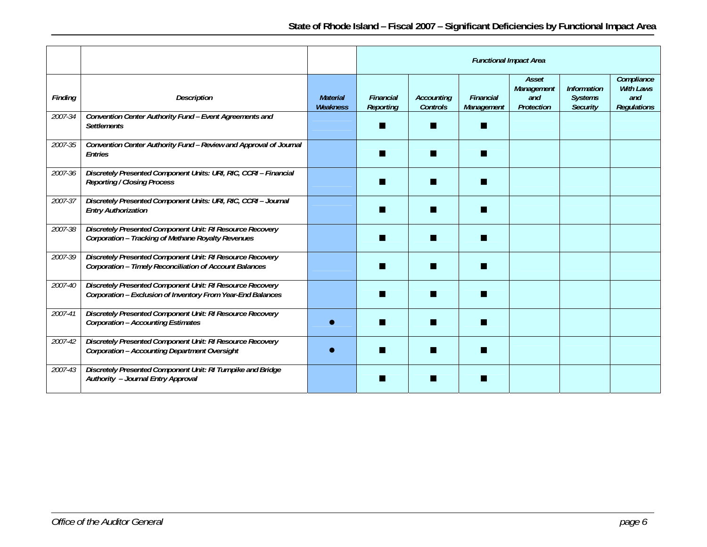|         |                                                                                                                          |                                    | <b>Functional Impact Area</b>        |                                      |                                |                                          |                                                         |                                                             |
|---------|--------------------------------------------------------------------------------------------------------------------------|------------------------------------|--------------------------------------|--------------------------------------|--------------------------------|------------------------------------------|---------------------------------------------------------|-------------------------------------------------------------|
| Finding | <b>Description</b>                                                                                                       | <b>Material</b><br><b>Weakness</b> | <b>Financial</b><br><b>Reporting</b> | <b>Accounting</b><br><b>Controls</b> | <b>Financial</b><br>Management | Asset<br>Management<br>and<br>Protection | <b>Information</b><br><b>Systems</b><br><b>Security</b> | Compliance<br><b>With Laws</b><br>and<br><b>Regulations</b> |
| 2007-34 | Convention Center Authority Fund - Event Agreements and<br><b>Settlements</b>                                            |                                    |                                      |                                      | m                              |                                          |                                                         |                                                             |
| 2007-35 | Convention Center Authority Fund - Review and Approval of Journal<br>Entries                                             |                                    |                                      |                                      |                                |                                          |                                                         |                                                             |
| 2007-36 | Discretely Presented Component Units: URI, RIC, CCRI - Financial<br><b>Reporting / Closing Process</b>                   |                                    |                                      |                                      |                                |                                          |                                                         |                                                             |
| 2007-37 | Discretely Presented Component Units: URI, RIC, CCRI-Journal<br><b>Entry Authorization</b>                               |                                    |                                      |                                      |                                |                                          |                                                         |                                                             |
| 2007-38 | Discretely Presented Component Unit: RI Resource Recovery<br>Corporation - Tracking of Methane Royalty Revenues          |                                    |                                      |                                      |                                |                                          |                                                         |                                                             |
| 2007-39 | Discretely Presented Component Unit: RI Resource Recovery<br>Corporation - Timely Reconciliation of Account Balances     |                                    |                                      |                                      |                                |                                          |                                                         |                                                             |
| 2007-40 | Discretely Presented Component Unit: RI Resource Recovery<br>Corporation - Exclusion of Inventory From Year-End Balances |                                    |                                      |                                      |                                |                                          |                                                         |                                                             |
| 2007-41 | Discretely Presented Component Unit: RI Resource Recovery<br><b>Corporation - Accounting Estimates</b>                   |                                    |                                      |                                      |                                |                                          |                                                         |                                                             |
| 2007-42 | Discretely Presented Component Unit: RI Resource Recovery<br><b>Corporation - Accounting Department Oversight</b>        |                                    |                                      |                                      |                                |                                          |                                                         |                                                             |
| 2007-43 | Discretely Presented Component Unit: RI Turnpike and Bridge<br>Authority - Journal Entry Approval                        |                                    |                                      |                                      |                                |                                          |                                                         |                                                             |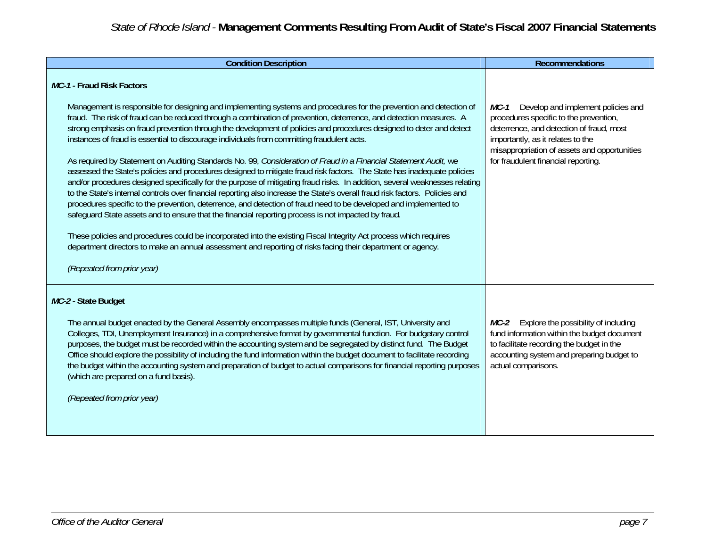| <b>Condition Description</b>                                                                                                                                                                                                                                                                                                                                                                                                                                                                                                                                                                                                                                                                                                                                                                                                                                                                                                                                                                                                                                                                                                                                                                                                                                                                                                                                                                                                                                                                            | <b>Recommendations</b>                                                                                                                                                                                                                                       |
|---------------------------------------------------------------------------------------------------------------------------------------------------------------------------------------------------------------------------------------------------------------------------------------------------------------------------------------------------------------------------------------------------------------------------------------------------------------------------------------------------------------------------------------------------------------------------------------------------------------------------------------------------------------------------------------------------------------------------------------------------------------------------------------------------------------------------------------------------------------------------------------------------------------------------------------------------------------------------------------------------------------------------------------------------------------------------------------------------------------------------------------------------------------------------------------------------------------------------------------------------------------------------------------------------------------------------------------------------------------------------------------------------------------------------------------------------------------------------------------------------------|--------------------------------------------------------------------------------------------------------------------------------------------------------------------------------------------------------------------------------------------------------------|
| MC-1 - Fraud Risk Factors<br>Management is responsible for designing and implementing systems and procedures for the prevention and detection of<br>fraud. The risk of fraud can be reduced through a combination of prevention, deterrence, and detection measures. A<br>strong emphasis on fraud prevention through the development of policies and procedures designed to deter and detect<br>instances of fraud is essential to discourage individuals from committing fraudulent acts.<br>As required by Statement on Auditing Standards No. 99, Consideration of Fraud in a Financial Statement Audit, we<br>assessed the State's policies and procedures designed to mitigate fraud risk factors. The State has inadequate policies<br>and/or procedures designed specifically for the purpose of mitigating fraud risks. In addition, several weaknesses relating<br>to the State's internal controls over financial reporting also increase the State's overall fraud risk factors. Policies and<br>procedures specific to the prevention, deterrence, and detection of fraud need to be developed and implemented to<br>safeguard State assets and to ensure that the financial reporting process is not impacted by fraud.<br>These policies and procedures could be incorporated into the existing Fiscal Integrity Act process which requires<br>department directors to make an annual assessment and reporting of risks facing their department or agency.<br>(Repeated from prior year) | Develop and implement policies and<br>MC-1<br>procedures specific to the prevention,<br>deterrence, and detection of fraud, most<br>importantly, as it relates to the<br>misappropriation of assets and opportunities<br>for fraudulent financial reporting. |
| MC-2 - State Budget<br>The annual budget enacted by the General Assembly encompasses multiple funds (General, IST, University and<br>Colleges, TDI, Unemployment Insurance) in a comprehensive format by governmental function. For budgetary control<br>purposes, the budget must be recorded within the accounting system and be segregated by distinct fund. The Budget<br>Office should explore the possibility of including the fund information within the budget document to facilitate recording<br>the budget within the accounting system and preparation of budget to actual comparisons for financial reporting purposes<br>(which are prepared on a fund basis).<br>(Repeated from prior year)                                                                                                                                                                                                                                                                                                                                                                                                                                                                                                                                                                                                                                                                                                                                                                                             | MC-2 Explore the possibility of including<br>fund information within the budget document<br>to facilitate recording the budget in the<br>accounting system and preparing budget to<br>actual comparisons.                                                    |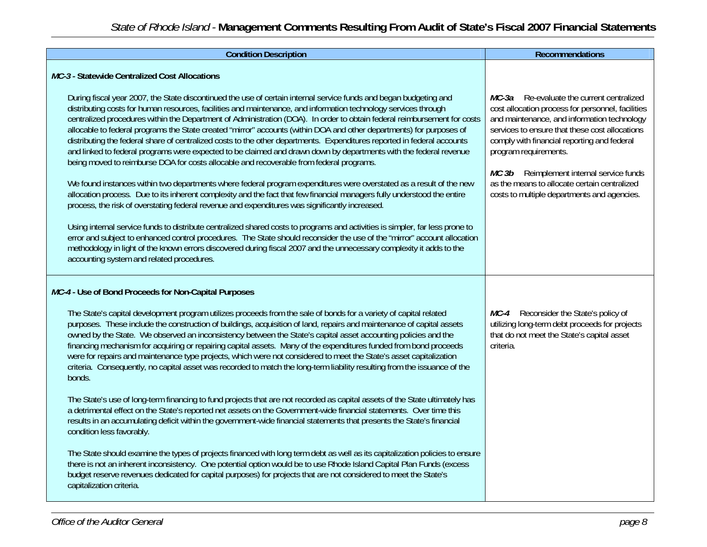| <b>Condition Description</b>                                                                                                                                                                                                                                                                                                                                                                                                                                                                                                                                                                                                                                                                                                                                                                                                                                                                                                                                                                                                                                                                                                                                                                                                                                                                                                                                                                                                                                                                                                                                                                                             | Recommendations                                                                                                                                                                                                                                                                                                                                                                                                           |
|--------------------------------------------------------------------------------------------------------------------------------------------------------------------------------------------------------------------------------------------------------------------------------------------------------------------------------------------------------------------------------------------------------------------------------------------------------------------------------------------------------------------------------------------------------------------------------------------------------------------------------------------------------------------------------------------------------------------------------------------------------------------------------------------------------------------------------------------------------------------------------------------------------------------------------------------------------------------------------------------------------------------------------------------------------------------------------------------------------------------------------------------------------------------------------------------------------------------------------------------------------------------------------------------------------------------------------------------------------------------------------------------------------------------------------------------------------------------------------------------------------------------------------------------------------------------------------------------------------------------------|---------------------------------------------------------------------------------------------------------------------------------------------------------------------------------------------------------------------------------------------------------------------------------------------------------------------------------------------------------------------------------------------------------------------------|
| MC-3 - Statewide Centralized Cost Allocations                                                                                                                                                                                                                                                                                                                                                                                                                                                                                                                                                                                                                                                                                                                                                                                                                                                                                                                                                                                                                                                                                                                                                                                                                                                                                                                                                                                                                                                                                                                                                                            |                                                                                                                                                                                                                                                                                                                                                                                                                           |
| During fiscal year 2007, the State discontinued the use of certain internal service funds and began budgeting and<br>distributing costs for human resources, facilities and maintenance, and information technology services through<br>centralized procedures within the Department of Administration (DOA). In order to obtain federal reimbursement for costs<br>allocable to federal programs the State created "mirror" accounts (within DOA and other departments) for purposes of<br>distributing the federal share of centralized costs to the other departments. Expenditures reported in federal accounts<br>and linked to federal programs were expected to be claimed and drawn down by departments with the federal revenue<br>being moved to reimburse DOA for costs allocable and recoverable from federal programs.<br>We found instances within two departments where federal program expenditures were overstated as a result of the new<br>allocation process. Due to its inherent complexity and the fact that few financial managers fully understood the entire<br>process, the risk of overstating federal revenue and expenditures was significantly increased.<br>Using internal service funds to distribute centralized shared costs to programs and activities is simpler, far less prone to<br>error and subject to enhanced control procedures. The State should reconsider the use of the "mirror" account allocation<br>methodology in light of the known errors discovered during fiscal 2007 and the unnecessary complexity it adds to the<br>accounting system and related procedures. | <i>MC-3a</i> Re-evaluate the current centralized<br>cost allocation process for personnel, facilities<br>and maintenance, and information technology<br>services to ensure that these cost allocations<br>comply with financial reporting and federal<br>program requirements.<br>MC 3b Reimplement internal service funds<br>as the means to allocate certain centralized<br>costs to multiple departments and agencies. |
| MC-4 - Use of Bond Proceeds for Non-Capital Purposes                                                                                                                                                                                                                                                                                                                                                                                                                                                                                                                                                                                                                                                                                                                                                                                                                                                                                                                                                                                                                                                                                                                                                                                                                                                                                                                                                                                                                                                                                                                                                                     |                                                                                                                                                                                                                                                                                                                                                                                                                           |
| The State's capital development program utilizes proceeds from the sale of bonds for a variety of capital related<br>purposes. These include the construction of buildings, acquisition of land, repairs and maintenance of capital assets<br>owned by the State. We observed an inconsistency between the State's capital asset accounting policies and the<br>financing mechanism for acquiring or repairing capital assets. Many of the expenditures funded from bond proceeds<br>were for repairs and maintenance type projects, which were not considered to meet the State's asset capitalization<br>criteria. Consequently, no capital asset was recorded to match the long-term liability resulting from the issuance of the<br>bonds.                                                                                                                                                                                                                                                                                                                                                                                                                                                                                                                                                                                                                                                                                                                                                                                                                                                                           | Reconsider the State's policy of<br>MC-4<br>utilizing long-term debt proceeds for projects<br>that do not meet the State's capital asset<br>criteria.                                                                                                                                                                                                                                                                     |
| The State's use of long-term financing to fund projects that are not recorded as capital assets of the State ultimately has<br>a detrimental effect on the State's reported net assets on the Government-wide financial statements. Over time this<br>results in an accumulating deficit within the government-wide financial statements that presents the State's financial<br>condition less favorably.                                                                                                                                                                                                                                                                                                                                                                                                                                                                                                                                                                                                                                                                                                                                                                                                                                                                                                                                                                                                                                                                                                                                                                                                                |                                                                                                                                                                                                                                                                                                                                                                                                                           |
| The State should examine the types of projects financed with long term debt as well as its capitalization policies to ensure<br>there is not an inherent inconsistency. One potential option would be to use Rhode Island Capital Plan Funds (excess<br>budget reserve revenues dedicated for capital purposes) for projects that are not considered to meet the State's<br>capitalization criteria.                                                                                                                                                                                                                                                                                                                                                                                                                                                                                                                                                                                                                                                                                                                                                                                                                                                                                                                                                                                                                                                                                                                                                                                                                     |                                                                                                                                                                                                                                                                                                                                                                                                                           |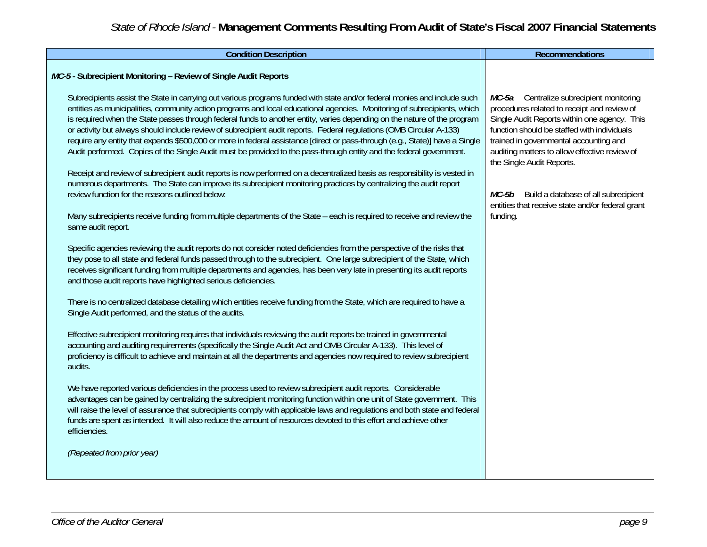| MC-5 - Subrecipient Monitoring - Review of Single Audit Reports<br>Subrecipients assist the State in carrying out various programs funded with state and/or federal monies and include such<br>MC-5a Centralize subrecipient monitoring<br>entities as municipalities, community action programs and local educational agencies. Monitoring of subrecipients, which<br>procedures related to receipt and review of<br>is required when the State passes through federal funds to another entity, varies depending on the nature of the program<br>Single Audit Reports within one agency. This<br>or activity but always should include review of subrecipient audit reports. Federal regulations (OMB Circular A-133)<br>function should be staffed with individuals<br>require any entity that expends \$500,000 or more in federal assistance [direct or pass-through (e.g., State)] have a Single<br>trained in governmental accounting and<br>Audit performed. Copies of the Single Audit must be provided to the pass-through entity and the federal government.<br>auditing matters to allow effective review of<br>the Single Audit Reports.<br>Receipt and review of subrecipient audit reports is now performed on a decentralized basis as responsibility is vested in<br>numerous departments. The State can improve its subrecipient monitoring practices by centralizing the audit report<br>review function for the reasons outlined below:<br>Build a database of all subrecipient<br>MC-5b<br>entities that receive state and/or federal grant<br>Many subrecipients receive funding from multiple departments of the State - each is required to receive and review the<br>funding.<br>same audit report.<br>Specific agencies reviewing the audit reports do not consider noted deficiencies from the perspective of the risks that<br>they pose to all state and federal funds passed through to the subrecipient. One large subrecipient of the State, which<br>receives significant funding from multiple departments and agencies, has been very late in presenting its audit reports<br>and those audit reports have highlighted serious deficiencies.<br>There is no centralized database detailing which entities receive funding from the State, which are required to have a<br>Single Audit performed, and the status of the audits.<br>Effective subrecipient monitoring requires that individuals reviewing the audit reports be trained in governmental<br>accounting and auditing requirements (specifically the Single Audit Act and OMB Circular A-133). This level of<br>proficiency is difficult to achieve and maintain at all the departments and agencies now required to review subrecipient<br>audits.<br>We have reported various deficiencies in the process used to review subrecipient audit reports. Considerable<br>advantages can be gained by centralizing the subrecipient monitoring function within one unit of State government. This<br>will raise the level of assurance that subrecipients comply with applicable laws and regulations and both state and federal | <b>Condition Description</b>                                                                                      | <b>Recommendations</b> |
|----------------------------------------------------------------------------------------------------------------------------------------------------------------------------------------------------------------------------------------------------------------------------------------------------------------------------------------------------------------------------------------------------------------------------------------------------------------------------------------------------------------------------------------------------------------------------------------------------------------------------------------------------------------------------------------------------------------------------------------------------------------------------------------------------------------------------------------------------------------------------------------------------------------------------------------------------------------------------------------------------------------------------------------------------------------------------------------------------------------------------------------------------------------------------------------------------------------------------------------------------------------------------------------------------------------------------------------------------------------------------------------------------------------------------------------------------------------------------------------------------------------------------------------------------------------------------------------------------------------------------------------------------------------------------------------------------------------------------------------------------------------------------------------------------------------------------------------------------------------------------------------------------------------------------------------------------------------------------------------------------------------------------------------------------------------------------------------------------------------------------------------------------------------------------------------------------------------------------------------------------------------------------------------------------------------------------------------------------------------------------------------------------------------------------------------------------------------------------------------------------------------------------------------------------------------------------------------------------------------------------------------------------------------------------------------------------------------------------------------------------------------------------------------------------------------------------------------------------------------------------------------------------------------------------------------------------------------------------------------------------------------------------------------------------------------------------------------------------------------------------|-------------------------------------------------------------------------------------------------------------------|------------------------|
|                                                                                                                                                                                                                                                                                                                                                                                                                                                                                                                                                                                                                                                                                                                                                                                                                                                                                                                                                                                                                                                                                                                                                                                                                                                                                                                                                                                                                                                                                                                                                                                                                                                                                                                                                                                                                                                                                                                                                                                                                                                                                                                                                                                                                                                                                                                                                                                                                                                                                                                                                                                                                                                                                                                                                                                                                                                                                                                                                                                                                                                                                                                            |                                                                                                                   |                        |
| efficiencies.<br>(Repeated from prior year)                                                                                                                                                                                                                                                                                                                                                                                                                                                                                                                                                                                                                                                                                                                                                                                                                                                                                                                                                                                                                                                                                                                                                                                                                                                                                                                                                                                                                                                                                                                                                                                                                                                                                                                                                                                                                                                                                                                                                                                                                                                                                                                                                                                                                                                                                                                                                                                                                                                                                                                                                                                                                                                                                                                                                                                                                                                                                                                                                                                                                                                                                | funds are spent as intended. It will also reduce the amount of resources devoted to this effort and achieve other |                        |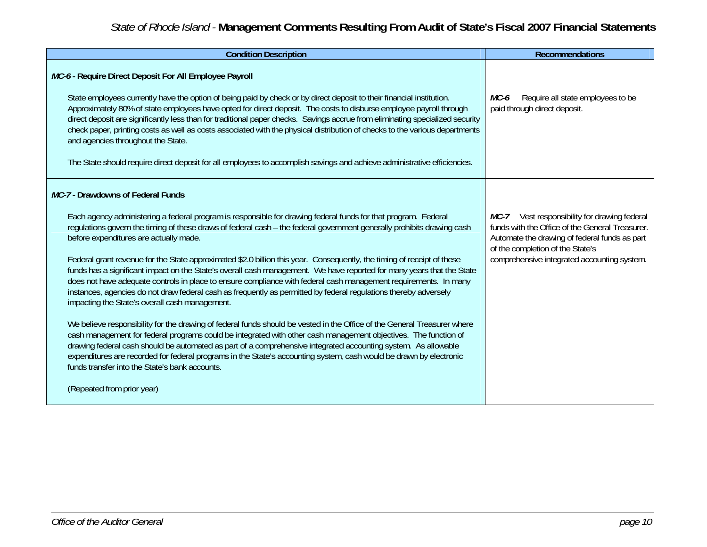| <b>Condition Description</b>                                                                                                                                                                                                                                                                                                                                                                                                                                                                                                                                                                                                                                                                                                                                                                                                                                                                                                                                                                                                                                                                                                                                                                                                                                                                                                                                                                                                                | <b>Recommendations</b>                                                                                                                                                                                                              |
|---------------------------------------------------------------------------------------------------------------------------------------------------------------------------------------------------------------------------------------------------------------------------------------------------------------------------------------------------------------------------------------------------------------------------------------------------------------------------------------------------------------------------------------------------------------------------------------------------------------------------------------------------------------------------------------------------------------------------------------------------------------------------------------------------------------------------------------------------------------------------------------------------------------------------------------------------------------------------------------------------------------------------------------------------------------------------------------------------------------------------------------------------------------------------------------------------------------------------------------------------------------------------------------------------------------------------------------------------------------------------------------------------------------------------------------------|-------------------------------------------------------------------------------------------------------------------------------------------------------------------------------------------------------------------------------------|
| MC-6 - Require Direct Deposit For All Employee Payroll<br>State employees currently have the option of being paid by check or by direct deposit to their financial institution.<br>Approximately 80% of state employees have opted for direct deposit. The costs to disburse employee payroll through<br>direct deposit are significantly less than for traditional paper checks. Savings accrue from eliminating specialized security<br>check paper, printing costs as well as costs associated with the physical distribution of checks to the various departments<br>and agencies throughout the State.<br>The State should require direct deposit for all employees to accomplish savings and achieve administrative efficiencies.                                                                                                                                                                                                                                                                                                                                                                                                                                                                                                                                                                                                                                                                                                     | MC-6<br>Require all state employees to be<br>paid through direct deposit.                                                                                                                                                           |
| MC-7 - Drawdowns of Federal Funds<br>Each agency administering a federal program is responsible for drawing federal funds for that program. Federal<br>regulations govern the timing of these draws of federal cash – the federal government generally prohibits drawing cash<br>before expenditures are actually made.<br>Federal grant revenue for the State approximated \$2.0 billion this year. Consequently, the timing of receipt of these<br>funds has a significant impact on the State's overall cash management. We have reported for many years that the State<br>does not have adequate controls in place to ensure compliance with federal cash management requirements. In many<br>instances, agencies do not draw federal cash as frequently as permitted by federal requlations thereby adversely<br>impacting the State's overall cash management.<br>We believe responsibility for the drawing of federal funds should be vested in the Office of the General Treasurer where<br>cash management for federal programs could be integrated with other cash management objectives. The function of<br>drawing federal cash should be automated as part of a comprehensive integrated accounting system. As allowable<br>expenditures are recorded for federal programs in the State's accounting system, cash would be drawn by electronic<br>funds transfer into the State's bank accounts.<br>(Repeated from prior year) | MC-7 Vest responsibility for drawing federal<br>funds with the Office of the General Treasurer.<br>Automate the drawing of federal funds as part<br>of the completion of the State's<br>comprehensive integrated accounting system. |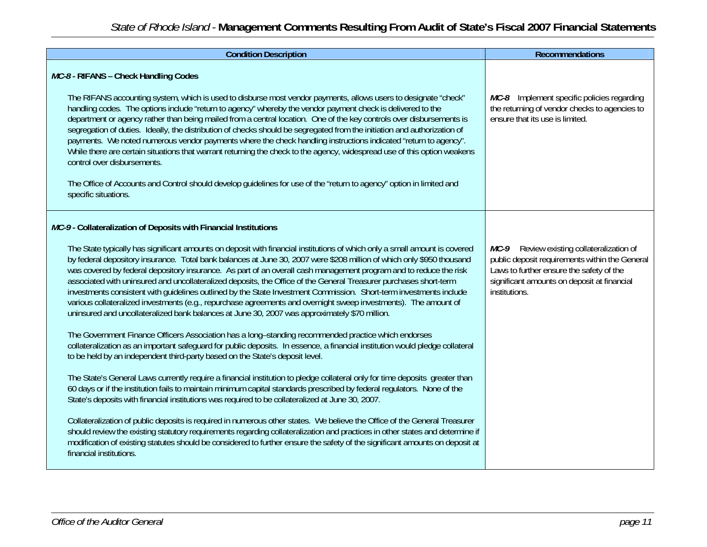| <b>Condition Description</b>                                                                                                                                                                                                                                                                                                                                                                                                                                                                                                                                                                                                                                                                                                                                                                                                                                                                                     | Recommendations                                                                                                                                                                                            |
|------------------------------------------------------------------------------------------------------------------------------------------------------------------------------------------------------------------------------------------------------------------------------------------------------------------------------------------------------------------------------------------------------------------------------------------------------------------------------------------------------------------------------------------------------------------------------------------------------------------------------------------------------------------------------------------------------------------------------------------------------------------------------------------------------------------------------------------------------------------------------------------------------------------|------------------------------------------------------------------------------------------------------------------------------------------------------------------------------------------------------------|
| MC-8 - RIFANS - Check Handling Codes                                                                                                                                                                                                                                                                                                                                                                                                                                                                                                                                                                                                                                                                                                                                                                                                                                                                             |                                                                                                                                                                                                            |
| The RIFANS accounting system, which is used to disburse most vendor payments, allows users to designate "check"<br>handling codes. The options include "return to agency" whereby the vendor payment check is delivered to the<br>department or agency rather than being mailed from a central location. One of the key controls over disbursements is<br>segregation of duties. Ideally, the distribution of checks should be segregated from the initiation and authorization of<br>payments. We noted numerous vendor payments where the check handling instructions indicated "return to agency".<br>While there are certain situations that warrant returning the check to the agency, widespread use of this option weakens<br>control over disbursements.<br>The Office of Accounts and Control should develop quidelines for use of the "return to agency" option in limited and<br>specific situations. | MC-8 Implement specific policies regarding<br>the returning of vendor checks to agencies to<br>ensure that its use is limited.                                                                             |
| MC-9- Collateralization of Deposits with Financial Institutions                                                                                                                                                                                                                                                                                                                                                                                                                                                                                                                                                                                                                                                                                                                                                                                                                                                  |                                                                                                                                                                                                            |
| The State typically has significant amounts on deposit with financial institutions of which only a small amount is covered<br>by federal depository insurance. Total bank balances at June 30, 2007 were \$208 million of which only \$950 thousand<br>was covered by federal depository insurance. As part of an overall cash management program and to reduce the risk<br>associated with uninsured and uncollateralized deposits, the Office of the General Treasurer purchases short-term<br>investments consistent with quidelines outlined by the State Investment Commission. Short-term investments include<br>various collateralized investments (e.g., repurchase agreements and overnight sweep investments). The amount of<br>uninsured and uncollateralized bank balances at June 30, 2007 was approximately \$70 million.                                                                          | Review existing collateralization of<br>MC-9<br>public deposit requirements within the General<br>Laws to further ensure the safety of the<br>significant amounts on deposit at financial<br>institutions. |
| The Government Finance Officers Association has a long-standing recommended practice which endorses<br>collateralization as an important safeguard for public deposits. In essence, a financial institution would pledge collateral<br>to be held by an independent third-party based on the State's deposit level.                                                                                                                                                                                                                                                                                                                                                                                                                                                                                                                                                                                              |                                                                                                                                                                                                            |
| The State's General Laws currently require a financial institution to pledge collateral only for time deposits greater than<br>60 days or if the institution fails to maintain minimum capital standards prescribed by federal regulators. None of the<br>State's deposits with financial institutions was required to be collateralized at June 30, 2007.                                                                                                                                                                                                                                                                                                                                                                                                                                                                                                                                                       |                                                                                                                                                                                                            |
| Collateralization of public deposits is required in numerous other states. We believe the Office of the General Treasurer<br>should review the existing statutory requirements regarding collateralization and practices in other states and determine if<br>modification of existing statutes should be considered to further ensure the safety of the significant amounts on deposit at<br>financial institutions.                                                                                                                                                                                                                                                                                                                                                                                                                                                                                             |                                                                                                                                                                                                            |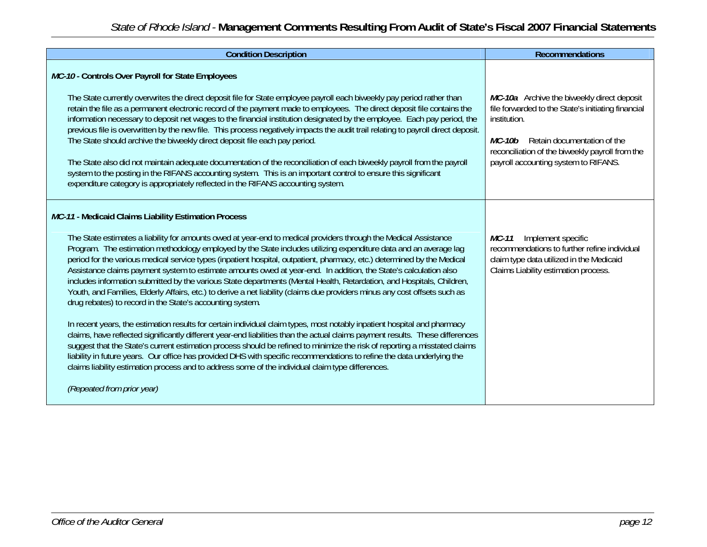| <b>Condition Description</b>                                                                                                                                                                                                                                                                                                                                                                                                                                                                                                                                                                                                                                                                                                                                                                                                                                                                                                                                                                                                                                                                                                                                                                                                                                                                                                                                                                                                                                                                                            | <b>Recommendations</b>                                                                                                                                                                                                                                      |
|-------------------------------------------------------------------------------------------------------------------------------------------------------------------------------------------------------------------------------------------------------------------------------------------------------------------------------------------------------------------------------------------------------------------------------------------------------------------------------------------------------------------------------------------------------------------------------------------------------------------------------------------------------------------------------------------------------------------------------------------------------------------------------------------------------------------------------------------------------------------------------------------------------------------------------------------------------------------------------------------------------------------------------------------------------------------------------------------------------------------------------------------------------------------------------------------------------------------------------------------------------------------------------------------------------------------------------------------------------------------------------------------------------------------------------------------------------------------------------------------------------------------------|-------------------------------------------------------------------------------------------------------------------------------------------------------------------------------------------------------------------------------------------------------------|
| MC-10 - Controls Over Payroll for State Employees<br>The State currently overwrites the direct deposit file for State employee payroll each biweekly pay period rather than<br>retain the file as a permanent electronic record of the payment made to employees. The direct deposit file contains the<br>information necessary to deposit net wages to the financial institution designated by the employee. Each pay period, the<br>previous file is overwritten by the new file. This process negatively impacts the audit trail relating to payroll direct deposit.<br>The State should archive the biweekly direct deposit file each pay period.<br>The State also did not maintain adequate documentation of the reconciliation of each biweekly payroll from the payroll<br>system to the posting in the RIFANS accounting system. This is an important control to ensure this significant<br>expenditure category is appropriately reflected in the RIFANS accounting system.                                                                                                                                                                                                                                                                                                                                                                                                                                                                                                                                   | MC-10a Archive the biweekly direct deposit<br>file forwarded to the State's initiating financial<br>institution.<br>Retain documentation of the<br><i>MC-10b</i><br>reconciliation of the biweekly payroll from the<br>payroll accounting system to RIFANS. |
| MC-11 - Medicaid Claims Liability Estimation Process<br>The State estimates a liability for amounts owed at year-end to medical providers through the Medical Assistance<br>Program. The estimation methodology employed by the State includes utilizing expenditure data and an average lag<br>period for the various medical service types (inpatient hospital, outpatient, pharmacy, etc.) determined by the Medical<br>Assistance claims payment system to estimate amounts owed at year-end. In addition, the State's calculation also<br>includes information submitted by the various State departments (Mental Health, Retardation, and Hospitals, Children,<br>Youth, and Families, Elderly Affairs, etc.) to derive a net liability (claims due providers minus any cost offsets such as<br>drug rebates) to record in the State's accounting system.<br>In recent years, the estimation results for certain individual claim types, most notably inpatient hospital and pharmacy<br>claims, have reflected significantly different year-end liabilities than the actual claims payment results. These differences<br>suggest that the State's current estimation process should be refined to minimize the risk of reporting a misstated claims<br>liability in future years. Our office has provided DHS with specific recommendations to refine the data underlying the<br>claims liability estimation process and to address some of the individual claim type differences.<br>(Repeated from prior year) | Implement specific<br>MC-11<br>recommendations to further refine individual<br>claim type data utilized in the Medicaid<br>Claims Liability estimation process.                                                                                             |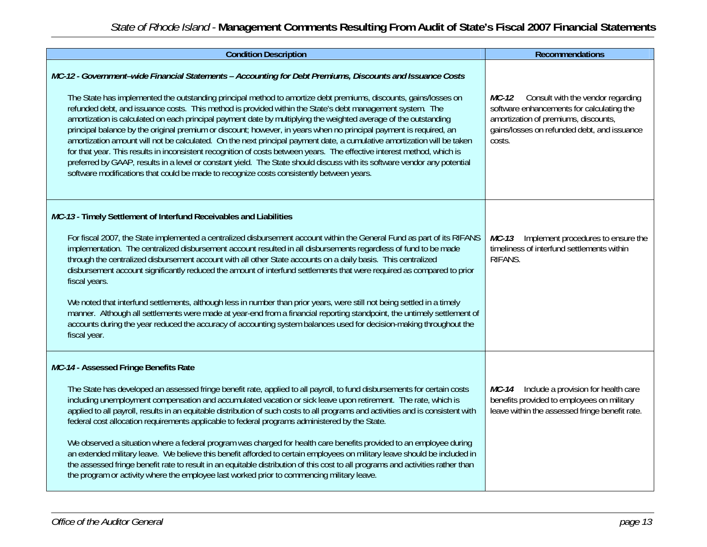| <b>Condition Description</b>                                                                                                                                                                                                                                                                                                                                                                                                                                                                                                                                                                                                                                                                                                                                                                                                                                                                                                                                                                                                                                       | <b>Recommendations</b>                                                                                                                                                                   |
|--------------------------------------------------------------------------------------------------------------------------------------------------------------------------------------------------------------------------------------------------------------------------------------------------------------------------------------------------------------------------------------------------------------------------------------------------------------------------------------------------------------------------------------------------------------------------------------------------------------------------------------------------------------------------------------------------------------------------------------------------------------------------------------------------------------------------------------------------------------------------------------------------------------------------------------------------------------------------------------------------------------------------------------------------------------------|------------------------------------------------------------------------------------------------------------------------------------------------------------------------------------------|
| MC-12 - Government-wide Financial Statements - Accounting for Debt Premiums, Discounts and Issuance Costs<br>The State has implemented the outstanding principal method to amortize debt premiums, discounts, gains/losses on<br>refunded debt, and issuance costs. This method is provided within the State's debt management system. The<br>amortization is calculated on each principal payment date by multiplying the weighted average of the outstanding<br>principal balance by the original premium or discount; however, in years when no principal payment is required, an<br>amortization amount will not be calculated. On the next principal payment date, a cumulative amortization will be taken<br>for that year. This results in inconsistent recognition of costs between years. The effective interest method, which is<br>preferred by GAAP, results in a level or constant yield. The State should discuss with its software vendor any potential<br>software modifications that could be made to recognize costs consistently between years. | Consult with the vendor regarding<br>MC-12<br>software enhancements for calculating the<br>amortization of premiums, discounts,<br>gains/losses on refunded debt, and issuance<br>costs. |
| MC-13 - Timely Settlement of Interfund Receivables and Liabilities<br>For fiscal 2007, the State implemented a centralized disbursement account within the General Fund as part of its RIFANS<br>implementation. The centralized disbursement account resulted in all disbursements regardless of fund to be made<br>through the centralized disbursement account with all other State accounts on a daily basis. This centralized<br>disbursement account significantly reduced the amount of interfund settlements that were required as compared to prior<br>fiscal years.<br>We noted that interfund settlements, although less in number than prior years, were still not being settled in a timely<br>manner. Although all settlements were made at year-end from a financial reporting standpoint, the untimely settlement of<br>accounts during the year reduced the accuracy of accounting system balances used for decision-making throughout the<br>fiscal year.                                                                                        | $MC-13$<br>Implement procedures to ensure the<br>timeliness of interfund settlements within<br><b>RIFANS</b>                                                                             |
| MC-14 - Assessed Fringe Benefits Rate<br>The State has developed an assessed fringe benefit rate, applied to all payroll, to fund disbursements for certain costs<br>including unemployment compensation and accumulated vacation or sick leave upon retirement. The rate, which is<br>applied to all payroll, results in an equitable distribution of such costs to all programs and activities and is consistent with<br>federal cost allocation requirements applicable to federal programs administered by the State.<br>We observed a situation where a federal program was charged for health care benefits provided to an employee during<br>an extended military leave. We believe this benefit afforded to certain employees on military leave should be included in<br>the assessed fringe benefit rate to result in an equitable distribution of this cost to all programs and activities rather than<br>the program or activity where the employee last worked prior to commencing military leave.                                                     | Include a provision for health care<br>MC-14<br>benefits provided to employees on military<br>leave within the assessed fringe benefit rate.                                             |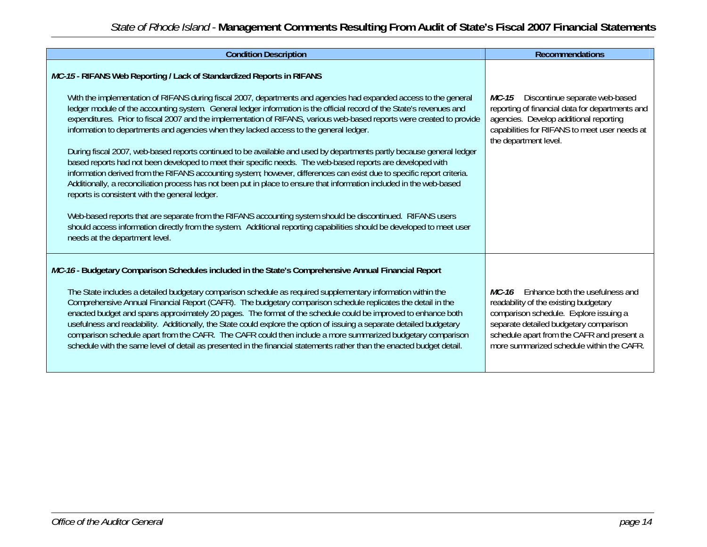| <b>Condition Description</b>                                                                                                                                                                                                                                                                                                                                                                                                                                                                                                                                                                                                                                                                                                                                                                                                                                                                                                                                                                                                                                                                                                                                                                                                                                                                                                                                   | <b>Recommendations</b>                                                                                                                                                                                                                                           |
|----------------------------------------------------------------------------------------------------------------------------------------------------------------------------------------------------------------------------------------------------------------------------------------------------------------------------------------------------------------------------------------------------------------------------------------------------------------------------------------------------------------------------------------------------------------------------------------------------------------------------------------------------------------------------------------------------------------------------------------------------------------------------------------------------------------------------------------------------------------------------------------------------------------------------------------------------------------------------------------------------------------------------------------------------------------------------------------------------------------------------------------------------------------------------------------------------------------------------------------------------------------------------------------------------------------------------------------------------------------|------------------------------------------------------------------------------------------------------------------------------------------------------------------------------------------------------------------------------------------------------------------|
| MC-15 - RIFANS Web Reporting / Lack of Standardized Reports in RIFANS<br>With the implementation of RIFANS during fiscal 2007, departments and agencies had expanded access to the general<br>ledger module of the accounting system. General ledger information is the official record of the State's revenues and<br>expenditures. Prior to fiscal 2007 and the implementation of RIFANS, various web-based reports were created to provide<br>information to departments and agencies when they lacked access to the general ledger.<br>During fiscal 2007, web-based reports continued to be available and used by departments partly because general ledger<br>based reports had not been developed to meet their specific needs. The web-based reports are developed with<br>information derived from the RIFANS accounting system; however, differences can exist due to specific report criteria.<br>Additionally, a reconciliation process has not been put in place to ensure that information included in the web-based<br>reports is consistent with the general ledger.<br>Web-based reports that are separate from the RIFANS accounting system should be discontinued. RIFANS users<br>should access information directly from the system. Additional reporting capabilities should be developed to meet user<br>needs at the department level. | Discontinue separate web-based<br>MC-15<br>reporting of financial data for departments and<br>agencies. Develop additional reporting<br>capabilities for RIFANS to meet user needs at<br>the department level.                                                   |
| MC-16 - Budgetary Comparison Schedules included in the State's Comprehensive Annual Financial Report<br>The State includes a detailed budgetary comparison schedule as required supplementary information within the<br>Comprehensive Annual Financial Report (CAFR). The budgetary comparison schedule replicates the detail in the<br>enacted budget and spans approximately 20 pages. The format of the schedule could be improved to enhance both<br>usefulness and readability. Additionally, the State could explore the option of issuing a separate detailed budgetary<br>comparison schedule apart from the CAFR. The CAFR could then include a more summarized budgetary comparison<br>schedule with the same level of detail as presented in the financial statements rather than the enacted budget detail.                                                                                                                                                                                                                                                                                                                                                                                                                                                                                                                                        | Enhance both the usefulness and<br>MC-16<br>readability of the existing budgetary<br>comparison schedule. Explore issuing a<br>separate detailed budgetary comparison<br>schedule apart from the CAFR and present a<br>more summarized schedule within the CAFR. |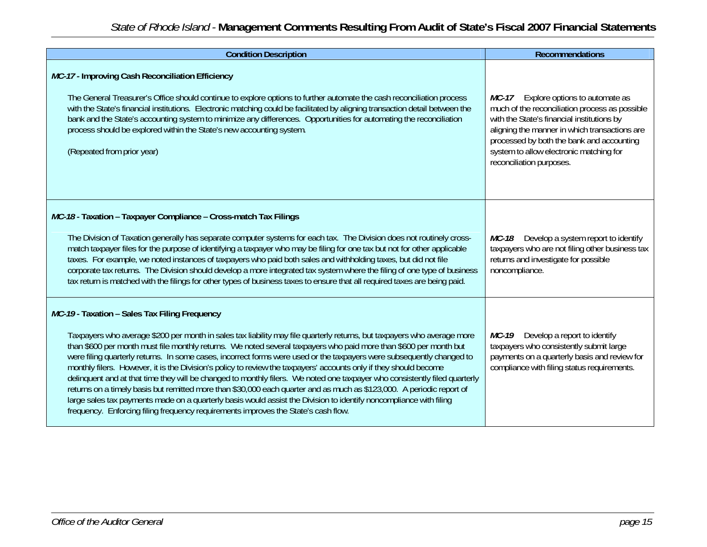| <b>Condition Description</b>                                                                                                                                                                                                                                                                                                                                                                                                                                                                                                                                                                                                                                                                                                                                                                                                                                                                                                                                                                                  | <b>Recommendations</b>                                                                                                                                                                                                                                                                                       |
|---------------------------------------------------------------------------------------------------------------------------------------------------------------------------------------------------------------------------------------------------------------------------------------------------------------------------------------------------------------------------------------------------------------------------------------------------------------------------------------------------------------------------------------------------------------------------------------------------------------------------------------------------------------------------------------------------------------------------------------------------------------------------------------------------------------------------------------------------------------------------------------------------------------------------------------------------------------------------------------------------------------|--------------------------------------------------------------------------------------------------------------------------------------------------------------------------------------------------------------------------------------------------------------------------------------------------------------|
| MC-17 - Improving Cash Reconciliation Efficiency<br>The General Treasurer's Office should continue to explore options to further automate the cash reconciliation process<br>with the State's financial institutions. Electronic matching could be facilitated by aligning transaction detail between the<br>bank and the State's accounting system to minimize any differences. Opportunities for automating the reconciliation<br>process should be explored within the State's new accounting system.<br>(Repeated from prior year)                                                                                                                                                                                                                                                                                                                                                                                                                                                                        | Explore options to automate as<br>MC-17<br>much of the reconciliation process as possible<br>with the State's financial institutions by<br>aligning the manner in which transactions are<br>processed by both the bank and accounting<br>system to allow electronic matching for<br>reconciliation purposes. |
| MC-18 - Taxation - Taxpayer Compliance - Cross-match Tax Filings<br>The Division of Taxation generally has separate computer systems for each tax. The Division does not routinely cross-<br>match taxpayer files for the purpose of identifying a taxpayer who may be filing for one tax but not for other applicable<br>taxes. For example, we noted instances of taxpayers who paid both sales and withholding taxes, but did not file<br>corporate tax returns. The Division should develop a more integrated tax system where the filing of one type of business<br>tax return is matched with the filings for other types of business taxes to ensure that all required taxes are being paid.                                                                                                                                                                                                                                                                                                           | Develop a system report to identify<br>MC-18<br>taxpayers who are not filing other business tax<br>returns and investigate for possible<br>noncompliance.                                                                                                                                                    |
| MC-19- Taxation - Sales Tax Filing Frequency<br>Taxpayers who average \$200 per month in sales tax liability may file quarterly returns, but taxpayers who average more<br>than \$600 per month must file monthly returns. We noted several taxpayers who paid more than \$600 per month but<br>were filing quarterly returns. In some cases, incorrect forms were used or the taxpayers were subsequently changed to<br>monthly filers. However, it is the Division's policy to review the taxpayers' accounts only if they should become<br>delinguent and at that time they will be changed to monthly filers. We noted one taxpayer who consistently filed quarterly<br>returns on a timely basis but remitted more than \$30,000 each quarter and as much as \$123,000. A periodic report of<br>large sales tax payments made on a quarterly basis would assist the Division to identify noncompliance with filing<br>frequency. Enforcing filing frequency requirements improves the State's cash flow. | Develop a report to identify<br>MC-19<br>taxpayers who consistently submit large<br>payments on a quarterly basis and review for<br>compliance with filing status requirements.                                                                                                                              |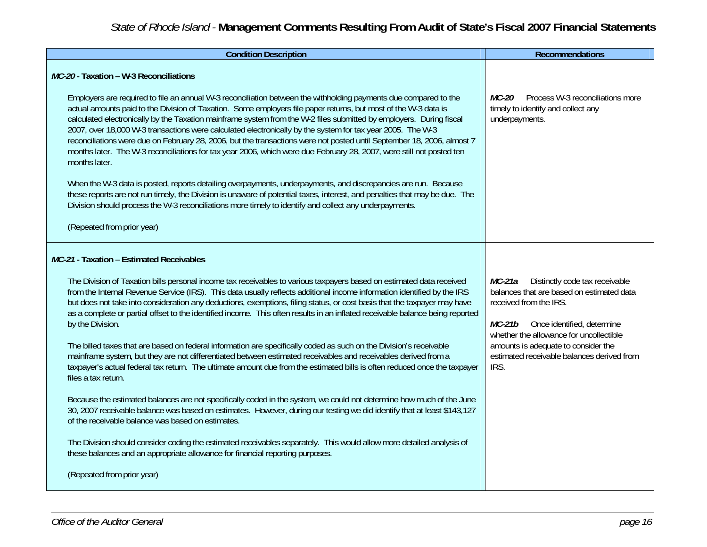| <b>Condition Description</b>                                                                                                                                                                                                                                                                                                                                                                                                                                                                                                                                                                                                                                                                                                                                                                                                                                                                                                                                                                | <b>Recommendations</b>                                                                                                               |
|---------------------------------------------------------------------------------------------------------------------------------------------------------------------------------------------------------------------------------------------------------------------------------------------------------------------------------------------------------------------------------------------------------------------------------------------------------------------------------------------------------------------------------------------------------------------------------------------------------------------------------------------------------------------------------------------------------------------------------------------------------------------------------------------------------------------------------------------------------------------------------------------------------------------------------------------------------------------------------------------|--------------------------------------------------------------------------------------------------------------------------------------|
| MC-20 - Taxation - W-3 Reconciliations                                                                                                                                                                                                                                                                                                                                                                                                                                                                                                                                                                                                                                                                                                                                                                                                                                                                                                                                                      |                                                                                                                                      |
| Employers are required to file an annual W-3 reconciliation between the withholding payments due compared to the<br>actual amounts paid to the Division of Taxation. Some employers file paper returns, but most of the W-3 data is<br>calculated electronically by the Taxation mainframe system from the W-2 files submitted by employers. During fiscal<br>2007, over 18,000 W-3 transactions were calculated electronically by the system for tax year 2005. The W-3<br>reconciliations were due on February 28, 2006, but the transactions were not posted until September 18, 2006, almost 7<br>months later. The W-3 reconciliations for tax year 2006, which were due February 28, 2007, were still not posted ten<br>months later.<br>When the W-3 data is posted, reports detailing overpayments, underpayments, and discrepancies are run. Because<br>these reports are not run timely, the Division is unaware of potential taxes, interest, and penalties that may be due. The | Process W-3 reconciliations more<br>$MC-20$<br>timely to identify and collect any<br>underpayments.                                  |
| Division should process the W-3 reconciliations more timely to identify and collect any underpayments.                                                                                                                                                                                                                                                                                                                                                                                                                                                                                                                                                                                                                                                                                                                                                                                                                                                                                      |                                                                                                                                      |
| (Repeated from prior year)                                                                                                                                                                                                                                                                                                                                                                                                                                                                                                                                                                                                                                                                                                                                                                                                                                                                                                                                                                  |                                                                                                                                      |
| MC-21 - Taxation - Estimated Receivables                                                                                                                                                                                                                                                                                                                                                                                                                                                                                                                                                                                                                                                                                                                                                                                                                                                                                                                                                    |                                                                                                                                      |
| The Division of Taxation bills personal income tax receivables to various taxpayers based on estimated data received<br>from the Internal Revenue Service (IRS). This data usually reflects additional income information identified by the IRS<br>but does not take into consideration any deductions, exemptions, filing status, or cost basis that the taxpayer may have                                                                                                                                                                                                                                                                                                                                                                                                                                                                                                                                                                                                                 | Distinctly code tax receivable<br>MC-21a<br>balances that are based on estimated data<br>received from the IRS.                      |
| as a complete or partial offset to the identified income. This often results in an inflated receivable balance being reported<br>by the Division.                                                                                                                                                                                                                                                                                                                                                                                                                                                                                                                                                                                                                                                                                                                                                                                                                                           | Once identified, determine<br><i>MC-21b</i>                                                                                          |
| The billed taxes that are based on federal information are specifically coded as such on the Division's receivable<br>mainframe system, but they are not differentiated between estimated receivables and receivables derived from a<br>taxpayer's actual federal tax return. The ultimate amount due from the estimated bills is often reduced once the taxpayer<br>files a tax return.                                                                                                                                                                                                                                                                                                                                                                                                                                                                                                                                                                                                    | whether the allowance for uncollectible<br>amounts is adequate to consider the<br>estimated receivable balances derived from<br>IRS. |
| Because the estimated balances are not specifically coded in the system, we could not determine how much of the June<br>30, 2007 receivable balance was based on estimates. However, during our testing we did identify that at least \$143,127<br>of the receivable balance was based on estimates.                                                                                                                                                                                                                                                                                                                                                                                                                                                                                                                                                                                                                                                                                        |                                                                                                                                      |
| The Division should consider coding the estimated receivables separately. This would allow more detailed analysis of<br>these balances and an appropriate allowance for financial reporting purposes.                                                                                                                                                                                                                                                                                                                                                                                                                                                                                                                                                                                                                                                                                                                                                                                       |                                                                                                                                      |
| (Repeated from prior year)                                                                                                                                                                                                                                                                                                                                                                                                                                                                                                                                                                                                                                                                                                                                                                                                                                                                                                                                                                  |                                                                                                                                      |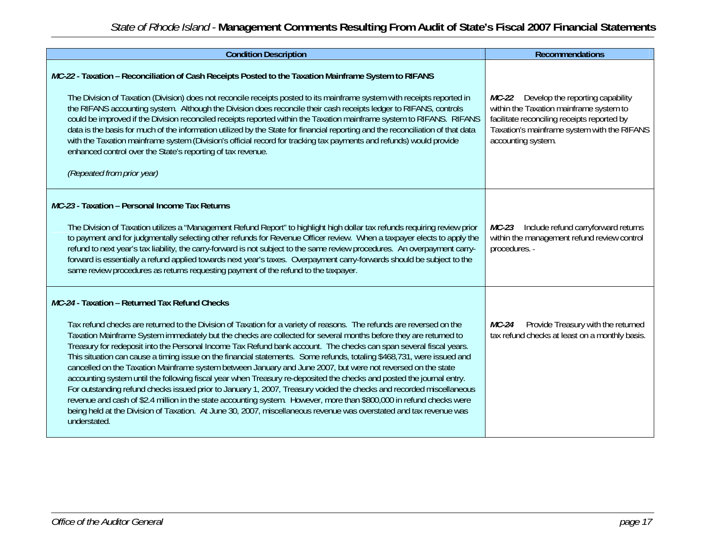| <b>Condition Description</b>                                                                                                                                                                                                                                                                                                                                                                                                                                                                                                                                                                                                                                                                                                                                                                                                                                                                                                                                                                                                                                                                                                                                              | <b>Recommendations</b>                                                                                                                                                                                |
|---------------------------------------------------------------------------------------------------------------------------------------------------------------------------------------------------------------------------------------------------------------------------------------------------------------------------------------------------------------------------------------------------------------------------------------------------------------------------------------------------------------------------------------------------------------------------------------------------------------------------------------------------------------------------------------------------------------------------------------------------------------------------------------------------------------------------------------------------------------------------------------------------------------------------------------------------------------------------------------------------------------------------------------------------------------------------------------------------------------------------------------------------------------------------|-------------------------------------------------------------------------------------------------------------------------------------------------------------------------------------------------------|
| MC-22 - Taxation – Reconciliation of Cash Receipts Posted to the Taxation Mainframe System to RIFANS<br>The Division of Taxation (Division) does not reconcile receipts posted to its mainframe system with receipts reported in<br>the RIFANS accounting system. Although the Division does reconcile their cash receipts ledger to RIFANS, controls<br>could be improved if the Division reconciled receipts reported within the Taxation mainframe system to RIFANS. RIFANS<br>data is the basis for much of the information utilized by the State for financial reporting and the reconciliation of that data<br>with the Taxation mainframe system (Division's official record for tracking tax payments and refunds) would provide<br>enhanced control over the State's reporting of tax revenue.<br>(Repeated from prior year)                                                                                                                                                                                                                                                                                                                                     | MC-22 Develop the reporting capability<br>within the Taxation mainframe system to<br>facilitate reconciling receipts reported by<br>Taxation's mainframe system with the RIFANS<br>accounting system. |
| MC-23 - Taxation - Personal Income Tax Returns<br>The Division of Taxation utilizes a "Management Refund Report" to highlight high dollar tax refunds requiring review prior<br>to payment and for judgmentally selecting other refunds for Revenue Officer review. When a taxpayer elects to apply the<br>refund to next year's tax liability, the carry-forward is not subject to the same review procedures. An overpayment carry-<br>forward is essentially a refund applied towards next year's taxes. Overpayment carry-forwards should be subject to the<br>same review procedures as returns requesting payment of the refund to the taxpayer.                                                                                                                                                                                                                                                                                                                                                                                                                                                                                                                    | Include refund carryforward returns<br><i>MC-23</i><br>within the management refund review control<br>procedures. -                                                                                   |
| MC-24 - Taxation - Returned Tax Refund Checks<br>Tax refund checks are returned to the Division of Taxation for a variety of reasons. The refunds are reversed on the<br>Taxation Mainframe System immediately but the checks are collected for several months before they are returned to<br>Treasury for redeposit into the Personal Income Tax Refund bank account. The checks can span several fiscal years.<br>This situation can cause a timing issue on the financial statements. Some refunds, totaling \$468,731, were issued and<br>cancelled on the Taxation Mainframe system between January and June 2007, but were not reversed on the state<br>accounting system until the following fiscal year when Treasury re-deposited the checks and posted the journal entry.<br>For outstanding refund checks issued prior to January 1, 2007, Treasury voided the checks and recorded miscellaneous<br>revenue and cash of \$2.4 million in the state accounting system. However, more than \$800,000 in refund checks were<br>being held at the Division of Taxation. At June 30, 2007, miscellaneous revenue was overstated and tax revenue was<br>understated. | Provide Treasury with the returned<br>MC-24<br>tax refund checks at least on a monthly basis.                                                                                                         |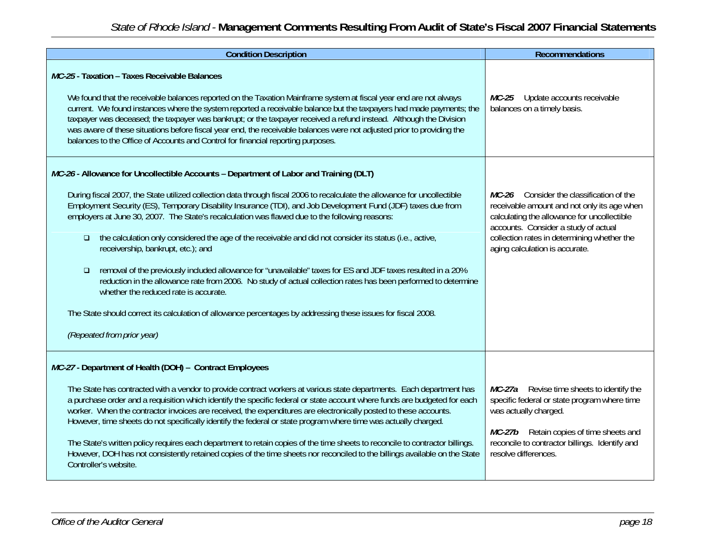| <b>Condition Description</b>                                                                                                                                                                                                                                                                                                                                                                                                                                                                                                                                                                                                                                                                                                                                                                                                                                                                                                                                                                                                         | <b>Recommendations</b>                                                                                                                                                                                                                                          |
|--------------------------------------------------------------------------------------------------------------------------------------------------------------------------------------------------------------------------------------------------------------------------------------------------------------------------------------------------------------------------------------------------------------------------------------------------------------------------------------------------------------------------------------------------------------------------------------------------------------------------------------------------------------------------------------------------------------------------------------------------------------------------------------------------------------------------------------------------------------------------------------------------------------------------------------------------------------------------------------------------------------------------------------|-----------------------------------------------------------------------------------------------------------------------------------------------------------------------------------------------------------------------------------------------------------------|
| MC-25 - Taxation - Taxes Receivable Balances<br>We found that the receivable balances reported on the Taxation Mainframe system at fiscal year end are not always<br>current. We found instances where the system reported a receivable balance but the taxpayers had made payments; the<br>taxpayer was deceased; the taxpayer was bankrupt; or the taxpayer received a refund instead. Although the Division<br>was aware of these situations before fiscal year end, the receivable balances were not adjusted prior to providing the<br>balances to the Office of Accounts and Control for financial reporting purposes.                                                                                                                                                                                                                                                                                                                                                                                                         | $MC-25$<br>Update accounts receivable<br>balances on a timely basis.                                                                                                                                                                                            |
| MC-26 - Allowance for Uncollectible Accounts - Department of Labor and Training (DLT)<br>During fiscal 2007, the State utilized collection data through fiscal 2006 to recalculate the allowance for uncollectible<br>Employment Security (ES), Temporary Disability Insurance (TDI), and Job Development Fund (JDF) taxes due from<br>employers at June 30, 2007. The State's recalculation was flawed due to the following reasons:<br>the calculation only considered the age of the receivable and did not consider its status (i.e., active,<br>$\Box$<br>receivership, bankrupt, etc.); and<br>removal of the previously included allowance for "unavailable" taxes for ES and JDF taxes resulted in a 20%<br>$\Box$<br>reduction in the allowance rate from 2006. No study of actual collection rates has been performed to determine<br>whether the reduced rate is accurate.<br>The State should correct its calculation of allowance percentages by addressing these issues for fiscal 2008.<br>(Repeated from prior year) | MC-26 Consider the classification of the<br>receivable amount and not only its age when<br>calculating the allowance for uncollectible<br>accounts. Consider a study of actual<br>collection rates in determining whether the<br>aging calculation is accurate. |
| MC-27 - Department of Health (DOH) - Contract Employees<br>The State has contracted with a vendor to provide contract workers at various state departments. Each department has<br>a purchase order and a requisition which identify the specific federal or state account where funds are budgeted for each<br>worker. When the contractor invoices are received, the expenditures are electronically posted to these accounts.<br>However, time sheets do not specifically identify the federal or state program where time was actually charged.<br>The State's written policy requires each department to retain copies of the time sheets to reconcile to contractor billings.<br>However, DOH has not consistently retained copies of the time sheets nor reconciled to the billings available on the State<br>Controller's website.                                                                                                                                                                                           | MC-27a Revise time sheets to identify the<br>specific federal or state program where time<br>was actually charged.<br>MC-27b Retain copies of time sheets and<br>reconcile to contractor billings. Identify and<br>resolve differences.                         |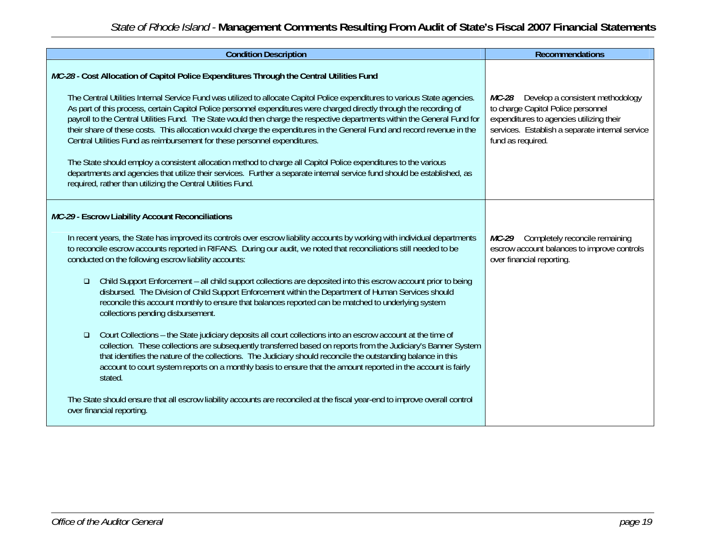| <b>Condition Description</b>                                                                                                                                                                                                                                                                                                                                                                                                                                                                                                                                                                                                                                                                                                                                                                                                                                                                                                                                                                                                                                                                                                                                                                                                             | <b>Recommendations</b>                                                                                                                                                                                     |
|------------------------------------------------------------------------------------------------------------------------------------------------------------------------------------------------------------------------------------------------------------------------------------------------------------------------------------------------------------------------------------------------------------------------------------------------------------------------------------------------------------------------------------------------------------------------------------------------------------------------------------------------------------------------------------------------------------------------------------------------------------------------------------------------------------------------------------------------------------------------------------------------------------------------------------------------------------------------------------------------------------------------------------------------------------------------------------------------------------------------------------------------------------------------------------------------------------------------------------------|------------------------------------------------------------------------------------------------------------------------------------------------------------------------------------------------------------|
| MC-28 - Cost Allocation of Capitol Police Expenditures Through the Central Utilities Fund<br>The Central Utilities Internal Service Fund was utilized to allocate Capitol Police expenditures to various State agencies.<br>As part of this process, certain Capitol Police personnel expenditures were charged directly through the recording of<br>payroll to the Central Utilities Fund. The State would then charge the respective departments within the General Fund for<br>their share of these costs. This allocation would charge the expenditures in the General Fund and record revenue in the<br>Central Utilities Fund as reimbursement for these personnel expenditures.<br>The State should employ a consistent allocation method to charge all Capitol Police expenditures to the various<br>departments and agencies that utilize their services. Further a separate internal service fund should be established, as<br>required, rather than utilizing the Central Utilities Fund.                                                                                                                                                                                                                                     | Develop a consistent methodology<br><i>MC-28</i><br>to charge Capitol Police personnel<br>expenditures to agencies utilizing their<br>services. Establish a separate internal service<br>fund as required. |
| MC-29 - Escrow Liability Account Reconciliations<br>In recent years, the State has improved its controls over escrow liability accounts by working with individual departments<br>to reconcile escrow accounts reported in RIFANS. During our audit, we noted that reconciliations still needed to be<br>conducted on the following escrow liability accounts:<br>Child Support Enforcement – all child support collections are deposited into this escrow account prior to being<br>$\Box$<br>disbursed. The Division of Child Support Enforcement within the Department of Human Services should<br>reconcile this account monthly to ensure that balances reported can be matched to underlying system<br>collections pending disbursement.<br>Court Collections – the State judiciary deposits all court collections into an escrow account at the time of<br>$\Box$<br>collection. These collections are subsequently transferred based on reports from the Judiciary's Banner System<br>that identifies the nature of the collections. The Judiciary should reconcile the outstanding balance in this<br>account to court system reports on a monthly basis to ensure that the amount reported in the account is fairly<br>stated. | Completely reconcile remaining<br>MC-29<br>escrow account balances to improve controls<br>over financial reporting.                                                                                        |
| The State should ensure that all escrow liability accounts are reconciled at the fiscal year-end to improve overall control<br>over financial reporting.                                                                                                                                                                                                                                                                                                                                                                                                                                                                                                                                                                                                                                                                                                                                                                                                                                                                                                                                                                                                                                                                                 |                                                                                                                                                                                                            |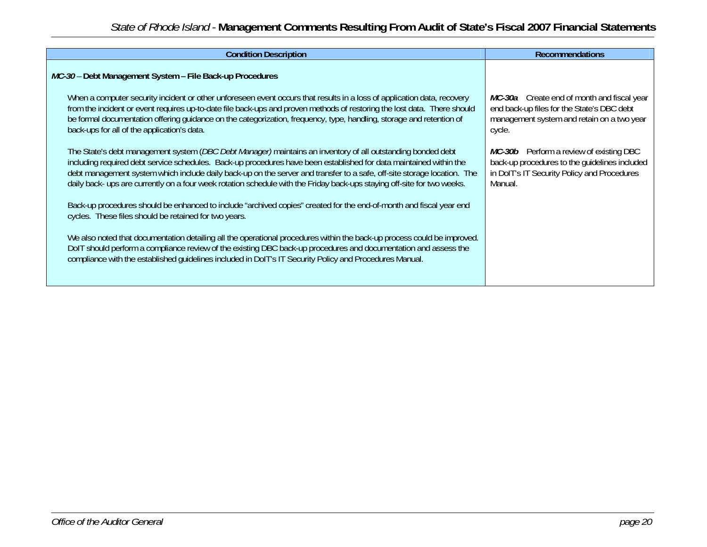| <b>Condition Description</b>                                                                                                                                                                                                                                                                                                                                                                                                                                                                     | <b>Recommendations</b>                                                                                                                             |
|--------------------------------------------------------------------------------------------------------------------------------------------------------------------------------------------------------------------------------------------------------------------------------------------------------------------------------------------------------------------------------------------------------------------------------------------------------------------------------------------------|----------------------------------------------------------------------------------------------------------------------------------------------------|
| MC-30 - Debt Management System - File Back-up Procedures                                                                                                                                                                                                                                                                                                                                                                                                                                         |                                                                                                                                                    |
| When a computer security incident or other unforeseen event occurs that results in a loss of application data, recovery<br>from the incident or event requires up-to-date file back-ups and proven methods of restoring the lost data. There should<br>be formal documentation offering quidance on the categorization, frequency, type, handling, storage and retention of<br>back-ups for all of the application's data.                                                                       | MC-30a Create end of month and fiscal year<br>end back-up files for the State's DBC debt<br>management system and retain on a two year<br>cycle.   |
| The State's debt management system ( <i>DBC Debt Manager</i> ) maintains an inventory of all outstanding bonded debt<br>including required debt service schedules. Back-up procedures have been established for data maintained within the<br>debt management system which include daily back-up on the server and transfer to a safe, off-site storage location. The<br>daily back- ups are currently on a four week rotation schedule with the Friday back-ups staying off-site for two weeks. | MC-30b Perform a review of existing DBC<br>back-up procedures to the quidelines included<br>in DoIT's IT Security Policy and Procedures<br>Manual. |
| Back-up procedures should be enhanced to include "archived copies" created for the end-of-month and fiscal year end<br>cycles. These files should be retained for two years.                                                                                                                                                                                                                                                                                                                     |                                                                                                                                                    |
| We also noted that documentation detailing all the operational procedures within the back-up process could be improved.<br>DoIT should perform a compliance review of the existing DBC back-up procedures and documentation and assess the<br>compliance with the established quidelines included in DolT's IT Security Policy and Procedures Manual.                                                                                                                                            |                                                                                                                                                    |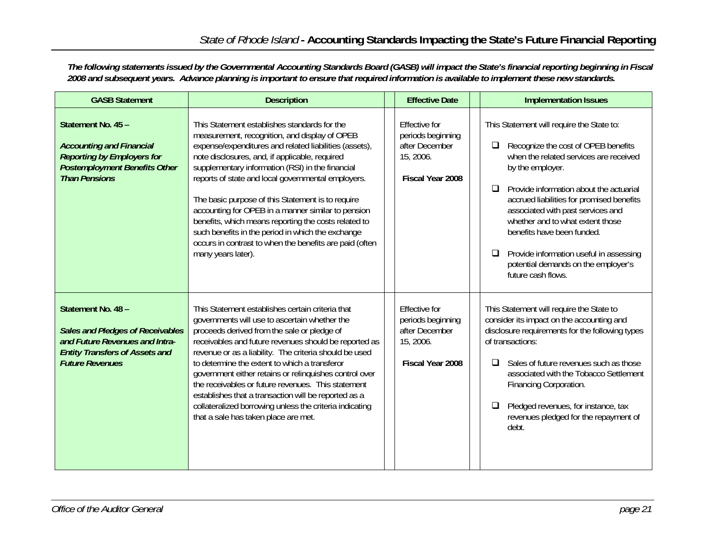*The following statements issued by the Governmental Accounting Standards Board (GASB) will impact the State's financial reporting beginning in Fiscal 2008 and subsequent years. Advance planning is important to ensure that required information is available to implement these new standards.* 

| <b>GASB Statement</b>                                                                                                                                              | <b>Description</b>                                                                                                                                                                                                                                                                                                                                                                                                                                                                                                                                                                                                           | <b>Effective Date</b>                                                                        | <b>Implementation Issues</b>                                                                                                                                                                                                                                                                                                                                                                                                                                                   |  |  |
|--------------------------------------------------------------------------------------------------------------------------------------------------------------------|------------------------------------------------------------------------------------------------------------------------------------------------------------------------------------------------------------------------------------------------------------------------------------------------------------------------------------------------------------------------------------------------------------------------------------------------------------------------------------------------------------------------------------------------------------------------------------------------------------------------------|----------------------------------------------------------------------------------------------|--------------------------------------------------------------------------------------------------------------------------------------------------------------------------------------------------------------------------------------------------------------------------------------------------------------------------------------------------------------------------------------------------------------------------------------------------------------------------------|--|--|
| Statement No. 45 -<br><b>Accounting and Financial</b><br><b>Reporting by Employers for</b><br><b>Postemployment Benefits Other</b><br><b>Than Pensions</b>         | This Statement establishes standards for the<br>measurement, recognition, and display of OPEB<br>expense/expenditures and related liabilities (assets),<br>note disclosures, and, if applicable, required<br>supplementary information (RSI) in the financial<br>reports of state and local governmental employers.<br>The basic purpose of this Statement is to require<br>accounting for OPEB in a manner similar to pension<br>benefits, which means reporting the costs related to<br>such benefits in the period in which the exchange<br>occurs in contrast to when the benefits are paid (often<br>many years later). | <b>Fffective for</b><br>periods beginning<br>after December<br>15, 2006.<br>Fiscal Year 2008 | This Statement will require the State to:<br>Recognize the cost of OPEB benefits<br>$\Box$<br>when the related services are received<br>by the employer.<br>Provide information about the actuarial<br>◻<br>accrued liabilities for promised benefits<br>associated with past services and<br>whether and to what extent those<br>benefits have been funded.<br>Provide information useful in assessing<br>$\Box$<br>potential demands on the employer's<br>future cash flows. |  |  |
| Statement No. 48 -<br><b>Sales and Pledges of Receivables</b><br>and Future Revenues and Intra-<br><b>Entity Transfers of Assets and</b><br><b>Future Revenues</b> | This Statement establishes certain criteria that<br>governments will use to ascertain whether the<br>proceeds derived from the sale or pledge of<br>receivables and future revenues should be reported as<br>revenue or as a liability. The criteria should be used<br>to determine the extent to which a transferor<br>government either retains or relinquishes control over<br>the receivables or future revenues. This statement<br>establishes that a transaction will be reported as a<br>collateralized borrowing unless the criteria indicating<br>that a sale has taken place are met.                              | <b>Effective for</b><br>periods beginning<br>after December<br>15, 2006.<br>Fiscal Year 2008 | This Statement will require the State to<br>consider its impact on the accounting and<br>disclosure requirements for the following types<br>of transactions:<br>Sales of future revenues such as those<br>$\Box$<br>associated with the Tobacco Settlement<br>Financing Corporation.<br>Pledged revenues, for instance, tax<br>□<br>revenues pledged for the repayment of<br>debt.                                                                                             |  |  |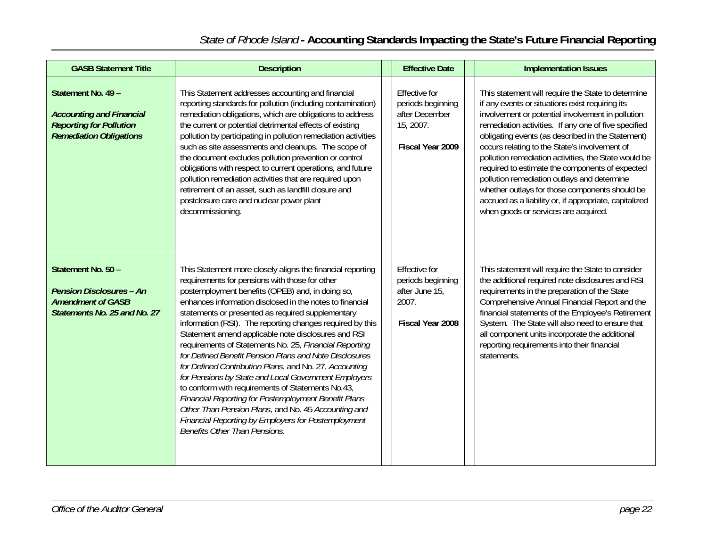| <b>GASB Statement Title</b>                                                                                               | <b>Description</b>                                                                                                                                                                                                                                                                                                                                                                                                                                                                                                                                                                                                                                                                                                                                                                                                                                                                                                    | <b>Effective Date</b>                                                                        | <b>Implementation Issues</b>                                                                                                                                                                                                                                                                                                                                                                                                                                                                                                                                                                                                           |
|---------------------------------------------------------------------------------------------------------------------------|-----------------------------------------------------------------------------------------------------------------------------------------------------------------------------------------------------------------------------------------------------------------------------------------------------------------------------------------------------------------------------------------------------------------------------------------------------------------------------------------------------------------------------------------------------------------------------------------------------------------------------------------------------------------------------------------------------------------------------------------------------------------------------------------------------------------------------------------------------------------------------------------------------------------------|----------------------------------------------------------------------------------------------|----------------------------------------------------------------------------------------------------------------------------------------------------------------------------------------------------------------------------------------------------------------------------------------------------------------------------------------------------------------------------------------------------------------------------------------------------------------------------------------------------------------------------------------------------------------------------------------------------------------------------------------|
| Statement No. 49 -<br><b>Accounting and Financial</b><br><b>Reporting for Pollution</b><br><b>Remediation Obligations</b> | This Statement addresses accounting and financial<br>reporting standards for pollution (including contamination)<br>remediation obligations, which are obligations to address<br>the current or potential detrimental effects of existing<br>pollution by participating in pollution remediation activities<br>such as site assessments and cleanups. The scope of<br>the document excludes pollution prevention or control<br>obligations with respect to current operations, and future<br>pollution remediation activities that are required upon<br>retirement of an asset, such as landfill closure and<br>postclosure care and nuclear power plant<br>decommissioning.                                                                                                                                                                                                                                          | <b>Effective for</b><br>periods beginning<br>after December<br>15, 2007.<br>Fiscal Year 2009 | This statement will require the State to determine<br>if any events or situations exist requiring its<br>involvement or potential involvement in pollution<br>remediation activities. If any one of five specified<br>obligating events (as described in the Statement)<br>occurs relating to the State's involvement of<br>pollution remediation activities, the State would be<br>required to estimate the components of expected<br>pollution remediation outlays and determine<br>whether outlays for those components should be<br>accrued as a liability or, if appropriate, capitalized<br>when goods or services are acquired. |
| Statement No. 50 -<br><b>Pension Disclosures - An</b><br><b>Amendment of GASB</b><br>Statements No. 25 and No. 27         | This Statement more closely aligns the financial reporting<br>requirements for pensions with those for other<br>postemployment benefits (OPEB) and, in doing so,<br>enhances information disclosed in the notes to financial<br>statements or presented as required supplementary<br>information (RSI). The reporting changes required by this<br>Statement amend applicable note disclosures and RSI<br>requirements of Statements No. 25, Financial Reporting<br>for Defined Benefit Pension Plans and Note Disclosures<br>for Defined Contribution Plans, and No. 27, Accounting<br>for Pensions by State and Local Government Employers<br>to conform with requirements of Statements No.43,<br>Financial Reporting for Postemployment Benefit Plans<br>Other Than Pension Plans, and No. 45 Accounting and<br><b>Financial Reporting by Employers for Postemployment</b><br><b>Benefits Other Than Pensions.</b> | <b>Effective for</b><br>periods beginning<br>after June 15,<br>2007.<br>Fiscal Year 2008     | This statement will require the State to consider<br>the additional required note disclosures and RSI<br>requirements in the preparation of the State<br>Comprehensive Annual Financial Report and the<br>financial statements of the Employee's Retirement<br>System. The State will also need to ensure that<br>all component units incorporate the additional<br>reporting requirements into their financial<br>statements.                                                                                                                                                                                                         |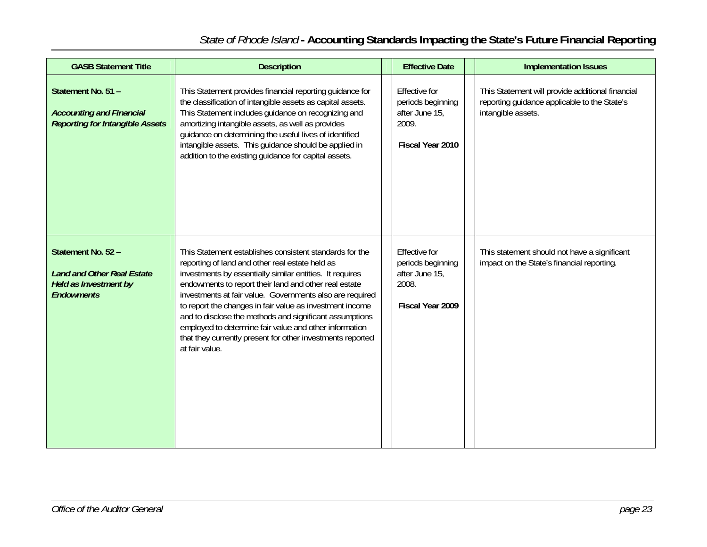# *State of Rhode Island* **- Accounting Standards Impacting the State's Future Financial Reporting**

| <b>GASB Statement Title</b>                                                                                  | <b>Description</b>                                                                                                                                                                                                                                                                                                                                                                                                                                                                                                                                           | <b>Effective Date</b>                                                                    |  | <b>Implementation Issues</b>                                                                                           |
|--------------------------------------------------------------------------------------------------------------|--------------------------------------------------------------------------------------------------------------------------------------------------------------------------------------------------------------------------------------------------------------------------------------------------------------------------------------------------------------------------------------------------------------------------------------------------------------------------------------------------------------------------------------------------------------|------------------------------------------------------------------------------------------|--|------------------------------------------------------------------------------------------------------------------------|
| Statement No. 51 -<br><b>Accounting and Financial</b><br><b>Reporting for Intangible Assets</b>              | This Statement provides financial reporting guidance for<br>the classification of intangible assets as capital assets.<br>This Statement includes guidance on recognizing and<br>amortizing intangible assets, as well as provides<br>guidance on determining the useful lives of identified<br>intangible assets. This guidance should be applied in<br>addition to the existing quidance for capital assets.                                                                                                                                               | <b>Effective for</b><br>periods beginning<br>after June 15,<br>2009.<br>Fiscal Year 2010 |  | This Statement will provide additional financial<br>reporting guidance applicable to the State's<br>intangible assets. |
| Statement No. 52 -<br><b>Land and Other Real Estate</b><br><b>Held as Investment by</b><br><b>Endowments</b> | This Statement establishes consistent standards for the<br>reporting of land and other real estate held as<br>investments by essentially similar entities. It requires<br>endowments to report their land and other real estate<br>investments at fair value. Governments also are required<br>to report the changes in fair value as investment income<br>and to disclose the methods and significant assumptions<br>employed to determine fair value and other information<br>that they currently present for other investments reported<br>at fair value. | <b>Effective for</b><br>periods beginning<br>after June 15,<br>2008.<br>Fiscal Year 2009 |  | This statement should not have a significant<br>impact on the State's financial reporting.                             |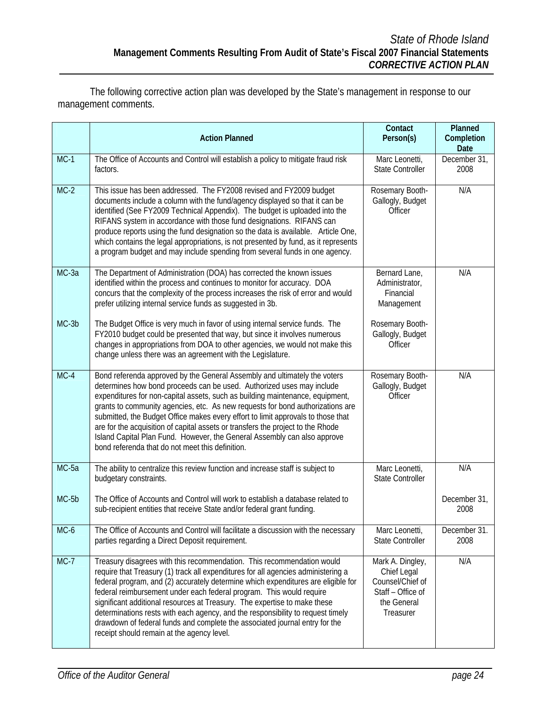The following corrective action plan was developed by the State's management in response to our management comments.

|         | <b>Action Planned</b>                                                                                                                                                                                                                                                                                                                                                                                                                                                                                                                                                                                                        | Contact<br>Person(s)                                                                                 | Planned<br>Completion<br><b>Date</b> |
|---------|------------------------------------------------------------------------------------------------------------------------------------------------------------------------------------------------------------------------------------------------------------------------------------------------------------------------------------------------------------------------------------------------------------------------------------------------------------------------------------------------------------------------------------------------------------------------------------------------------------------------------|------------------------------------------------------------------------------------------------------|--------------------------------------|
| $MC-1$  | The Office of Accounts and Control will establish a policy to mitigate fraud risk<br>factors.                                                                                                                                                                                                                                                                                                                                                                                                                                                                                                                                | Marc Leonetti,<br><b>State Controller</b>                                                            | December 31,<br>2008                 |
| $MC-2$  | This issue has been addressed. The FY2008 revised and FY2009 budget<br>documents include a column with the fund/agency displayed so that it can be<br>identified (See FY2009 Technical Appendix). The budget is uploaded into the<br>RIFANS system in accordance with those fund designations. RIFANS can<br>produce reports using the fund designation so the data is available. Article One,<br>which contains the legal appropriations, is not presented by fund, as it represents<br>a program budget and may include spending from several funds in one agency.                                                         | Rosemary Booth-<br>Gallogly, Budget<br>Officer                                                       | N/A                                  |
| MC-3a   | The Department of Administration (DOA) has corrected the known issues<br>identified within the process and continues to monitor for accuracy. DOA<br>concurs that the complexity of the process increases the risk of error and would<br>prefer utilizing internal service funds as suggested in 3b.                                                                                                                                                                                                                                                                                                                         | Bernard Lane,<br>Administrator,<br>Financial<br>Management                                           | N/A                                  |
| $MC-3b$ | The Budget Office is very much in favor of using internal service funds. The<br>FY2010 budget could be presented that way, but since it involves numerous<br>changes in appropriations from DOA to other agencies, we would not make this<br>change unless there was an agreement with the Legislature.                                                                                                                                                                                                                                                                                                                      | Rosemary Booth-<br>Gallogly, Budget<br>Officer                                                       |                                      |
| $MC-4$  | Bond referenda approved by the General Assembly and ultimately the voters<br>determines how bond proceeds can be used. Authorized uses may include<br>expenditures for non-capital assets, such as building maintenance, equipment,<br>grants to community agencies, etc. As new requests for bond authorizations are<br>submitted, the Budget Office makes every effort to limit approvals to those that<br>are for the acquisition of capital assets or transfers the project to the Rhode<br>Island Capital Plan Fund. However, the General Assembly can also approve<br>bond referenda that do not meet this definition. | Rosemary Booth-<br>Gallogly, Budget<br>Officer                                                       | N/A                                  |
| MC-5a   | The ability to centralize this review function and increase staff is subject to<br>budgetary constraints.                                                                                                                                                                                                                                                                                                                                                                                                                                                                                                                    | Marc Leonetti,<br><b>State Controller</b>                                                            | N/A                                  |
| MC-5b   | The Office of Accounts and Control will work to establish a database related to<br>sub-recipient entities that receive State and/or federal grant funding.                                                                                                                                                                                                                                                                                                                                                                                                                                                                   |                                                                                                      | December 31,<br>2008                 |
| MC-6    | The Office of Accounts and Control will facilitate a discussion with the necessary<br>parties regarding a Direct Deposit requirement.                                                                                                                                                                                                                                                                                                                                                                                                                                                                                        | Marc Leonetti,<br><b>State Controller</b>                                                            | December 31.<br>2008                 |
| $MC-7$  | Treasury disagrees with this recommendation. This recommendation would<br>require that Treasury (1) track all expenditures for all agencies administering a<br>federal program, and (2) accurately determine which expenditures are eligible for<br>federal reimbursement under each federal program. This would require<br>significant additional resources at Treasury. The expertise to make these<br>determinations rests with each agency, and the responsibility to request timely<br>drawdown of federal funds and complete the associated journal entry for the<br>receipt should remain at the agency level.        | Mark A. Dingley,<br>Chief Legal<br>Counsel/Chief of<br>Staff - Office of<br>the General<br>Treasurer | N/A                                  |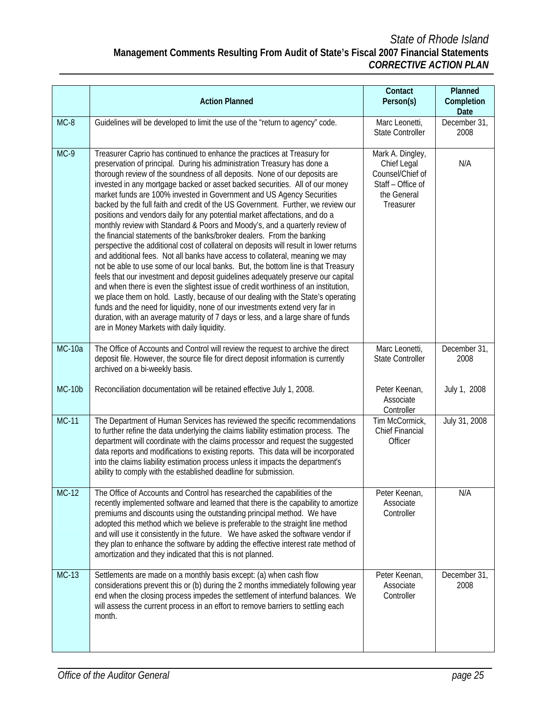|               | <b>Action Planned</b>                                                                                                                                                                                                                                                                                                                                                                                                                                                                                                                                                                                                                                                                                                                                                                                                                                                                                                                                                                                                                                                                                                                                                                                                                                                                                                                                                                                                                                                 | Contact<br>Person(s)                                                                                 | Planned<br>Completion        |
|---------------|-----------------------------------------------------------------------------------------------------------------------------------------------------------------------------------------------------------------------------------------------------------------------------------------------------------------------------------------------------------------------------------------------------------------------------------------------------------------------------------------------------------------------------------------------------------------------------------------------------------------------------------------------------------------------------------------------------------------------------------------------------------------------------------------------------------------------------------------------------------------------------------------------------------------------------------------------------------------------------------------------------------------------------------------------------------------------------------------------------------------------------------------------------------------------------------------------------------------------------------------------------------------------------------------------------------------------------------------------------------------------------------------------------------------------------------------------------------------------|------------------------------------------------------------------------------------------------------|------------------------------|
| $MC-8$        | Guidelines will be developed to limit the use of the "return to agency" code.                                                                                                                                                                                                                                                                                                                                                                                                                                                                                                                                                                                                                                                                                                                                                                                                                                                                                                                                                                                                                                                                                                                                                                                                                                                                                                                                                                                         | Marc Leonetti,<br><b>State Controller</b>                                                            | Date<br>December 31,<br>2008 |
| $MC-9$        | Treasurer Caprio has continued to enhance the practices at Treasury for<br>preservation of principal. During his administration Treasury has done a<br>thorough review of the soundness of all deposits. None of our deposits are<br>invested in any mortgage backed or asset backed securities. All of our money<br>market funds are 100% invested in Government and US Agency Securities<br>backed by the full faith and credit of the US Government. Further, we review our<br>positions and vendors daily for any potential market affectations, and do a<br>monthly review with Standard & Poors and Moody's, and a quarterly review of<br>the financial statements of the banks/broker dealers. From the banking<br>perspective the additional cost of collateral on deposits will result in lower returns<br>and additional fees. Not all banks have access to collateral, meaning we may<br>not be able to use some of our local banks. But, the bottom line is that Treasury<br>feels that our investment and deposit guidelines adequately preserve our capital<br>and when there is even the slightest issue of credit worthiness of an institution,<br>we place them on hold. Lastly, because of our dealing with the State's operating<br>funds and the need for liquidity, none of our investments extend very far in<br>duration, with an average maturity of 7 days or less, and a large share of funds<br>are in Money Markets with daily liquidity. | Mark A. Dingley,<br>Chief Legal<br>Counsel/Chief of<br>Staff - Office of<br>the General<br>Treasurer | N/A                          |
| <b>MC-10a</b> | The Office of Accounts and Control will review the request to archive the direct<br>deposit file. However, the source file for direct deposit information is currently<br>archived on a bi-weekly basis.                                                                                                                                                                                                                                                                                                                                                                                                                                                                                                                                                                                                                                                                                                                                                                                                                                                                                                                                                                                                                                                                                                                                                                                                                                                              | Marc Leonetti,<br><b>State Controller</b>                                                            | December 31,<br>2008         |
| $MC-10b$      | Reconciliation documentation will be retained effective July 1, 2008.                                                                                                                                                                                                                                                                                                                                                                                                                                                                                                                                                                                                                                                                                                                                                                                                                                                                                                                                                                                                                                                                                                                                                                                                                                                                                                                                                                                                 | Peter Keenan,<br>Associate<br>Controller                                                             | July 1, 2008                 |
| $MC-11$       | The Department of Human Services has reviewed the specific recommendations<br>to further refine the data underlying the claims liability estimation process. The<br>department will coordinate with the claims processor and request the suggested<br>data reports and modifications to existing reports. This data will be incorporated<br>into the claims liability estimation process unless it impacts the department's<br>ability to comply with the established deadline for submission.                                                                                                                                                                                                                                                                                                                                                                                                                                                                                                                                                                                                                                                                                                                                                                                                                                                                                                                                                                        | Tim McCormick,<br><b>Chief Financial</b><br>Officer                                                  | July 31, 2008                |
| $MC-12$       | The Office of Accounts and Control has researched the capabilities of the<br>recently implemented software and learned that there is the capability to amortize<br>premiums and discounts using the outstanding principal method. We have<br>adopted this method which we believe is preferable to the straight line method<br>and will use it consistently in the future. We have asked the software vendor if<br>they plan to enhance the software by adding the effective interest rate method of<br>amortization and they indicated that this is not planned.                                                                                                                                                                                                                                                                                                                                                                                                                                                                                                                                                                                                                                                                                                                                                                                                                                                                                                     | Peter Keenan,<br>Associate<br>Controller                                                             | N/A                          |
| <b>MC-13</b>  | Settlements are made on a monthly basis except: (a) when cash flow<br>considerations prevent this or (b) during the 2 months immediately following year<br>end when the closing process impedes the settlement of interfund balances. We<br>will assess the current process in an effort to remove barriers to settling each<br>month.                                                                                                                                                                                                                                                                                                                                                                                                                                                                                                                                                                                                                                                                                                                                                                                                                                                                                                                                                                                                                                                                                                                                | Peter Keenan,<br>Associate<br>Controller                                                             | December 31,<br>2008         |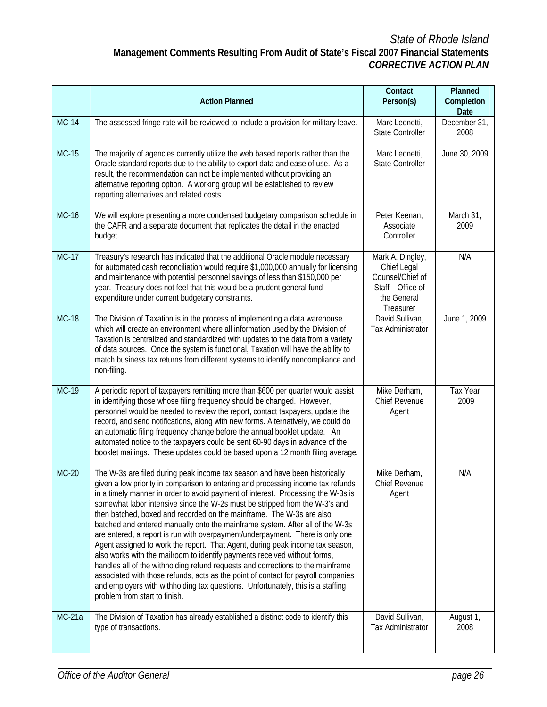|               | <b>Action Planned</b>                                                                                                                                                                                                                                                                                                                                                                                                                                                                                                                                                                                                                                                                                                                                                                                                                                                                                                                                                                                                                  | Contact<br>Person(s)                                                                                 | Planned<br>Completion |
|---------------|----------------------------------------------------------------------------------------------------------------------------------------------------------------------------------------------------------------------------------------------------------------------------------------------------------------------------------------------------------------------------------------------------------------------------------------------------------------------------------------------------------------------------------------------------------------------------------------------------------------------------------------------------------------------------------------------------------------------------------------------------------------------------------------------------------------------------------------------------------------------------------------------------------------------------------------------------------------------------------------------------------------------------------------|------------------------------------------------------------------------------------------------------|-----------------------|
|               |                                                                                                                                                                                                                                                                                                                                                                                                                                                                                                                                                                                                                                                                                                                                                                                                                                                                                                                                                                                                                                        |                                                                                                      | Date                  |
| <b>MC-14</b>  | The assessed fringe rate will be reviewed to include a provision for military leave.                                                                                                                                                                                                                                                                                                                                                                                                                                                                                                                                                                                                                                                                                                                                                                                                                                                                                                                                                   | Marc Leonetti,<br><b>State Controller</b>                                                            | December 31,<br>2008  |
| $MC-15$       | The majority of agencies currently utilize the web based reports rather than the<br>Oracle standard reports due to the ability to export data and ease of use. As a<br>result, the recommendation can not be implemented without providing an<br>alternative reporting option. A working group will be established to review<br>reporting alternatives and related costs.                                                                                                                                                                                                                                                                                                                                                                                                                                                                                                                                                                                                                                                              | Marc Leonetti,<br><b>State Controller</b>                                                            | June 30, 2009         |
| $MC-16$       | We will explore presenting a more condensed budgetary comparison schedule in<br>the CAFR and a separate document that replicates the detail in the enacted<br>budget.                                                                                                                                                                                                                                                                                                                                                                                                                                                                                                                                                                                                                                                                                                                                                                                                                                                                  | Peter Keenan,<br>Associate<br>Controller                                                             | March 31,<br>2009     |
| $MC-17$       | Treasury's research has indicated that the additional Oracle module necessary<br>for automated cash reconciliation would require \$1,000,000 annually for licensing<br>and maintenance with potential personnel savings of less than \$150,000 per<br>year. Treasury does not feel that this would be a prudent general fund<br>expenditure under current budgetary constraints.                                                                                                                                                                                                                                                                                                                                                                                                                                                                                                                                                                                                                                                       | Mark A. Dingley,<br>Chief Legal<br>Counsel/Chief of<br>Staff - Office of<br>the General<br>Treasurer | N/A                   |
| $MC-18$       | The Division of Taxation is in the process of implementing a data warehouse<br>which will create an environment where all information used by the Division of<br>Taxation is centralized and standardized with updates to the data from a variety<br>of data sources. Once the system is functional, Taxation will have the ability to<br>match business tax returns from different systems to identify noncompliance and<br>non-filing.                                                                                                                                                                                                                                                                                                                                                                                                                                                                                                                                                                                               | David Sullivan,<br>Tax Administrator                                                                 | June 1, 2009          |
| <b>MC-19</b>  | A periodic report of taxpayers remitting more than \$600 per quarter would assist<br>in identifying those whose filing frequency should be changed. However,<br>personnel would be needed to review the report, contact taxpayers, update the<br>record, and send notifications, along with new forms. Alternatively, we could do<br>an automatic filing frequency change before the annual booklet update. An<br>automated notice to the taxpayers could be sent 60-90 days in advance of the<br>booklet mailings. These updates could be based upon a 12 month filing average.                                                                                                                                                                                                                                                                                                                                                                                                                                                       | Mike Derham,<br>Chief Revenue<br>Agent                                                               | Tax Year<br>2009      |
| <b>MC-20</b>  | The W-3s are filed during peak income tax season and have been historically<br>given a low priority in comparison to entering and processing income tax refunds<br>in a timely manner in order to avoid payment of interest. Processing the W-3s is<br>somewhat labor intensive since the W-2s must be stripped from the W-3's and<br>then batched, boxed and recorded on the mainframe. The W-3s are also<br>batched and entered manually onto the mainframe system. After all of the W-3s<br>are entered, a report is run with overpayment/underpayment. There is only one<br>Agent assigned to work the report. That Agent, during peak income tax season,<br>also works with the mailroom to identify payments received without forms,<br>handles all of the withholding refund requests and corrections to the mainframe<br>associated with those refunds, acts as the point of contact for payroll companies<br>and employers with withholding tax questions. Unfortunately, this is a staffing<br>problem from start to finish. | Mike Derham,<br>Chief Revenue<br>Agent                                                               | N/A                   |
| <b>MC-21a</b> | The Division of Taxation has already established a distinct code to identify this<br>type of transactions.                                                                                                                                                                                                                                                                                                                                                                                                                                                                                                                                                                                                                                                                                                                                                                                                                                                                                                                             | David Sullivan,<br>Tax Administrator                                                                 | August 1,<br>2008     |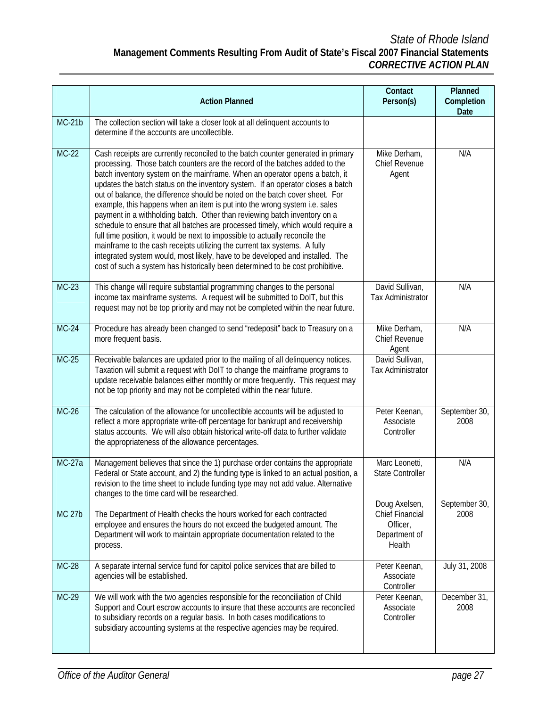|               | <b>Action Planned</b>                                                                                                                                                                                                                                                                                                                                                                                                                                                                                                                                                                                                                                                                                                                                                                                                                                                                                                                                                                           | Contact<br>Person(s)                                                    | Planned<br>Completion<br>Date |
|---------------|-------------------------------------------------------------------------------------------------------------------------------------------------------------------------------------------------------------------------------------------------------------------------------------------------------------------------------------------------------------------------------------------------------------------------------------------------------------------------------------------------------------------------------------------------------------------------------------------------------------------------------------------------------------------------------------------------------------------------------------------------------------------------------------------------------------------------------------------------------------------------------------------------------------------------------------------------------------------------------------------------|-------------------------------------------------------------------------|-------------------------------|
| $MC-21b$      | The collection section will take a closer look at all delinquent accounts to<br>determine if the accounts are uncollectible.                                                                                                                                                                                                                                                                                                                                                                                                                                                                                                                                                                                                                                                                                                                                                                                                                                                                    |                                                                         |                               |
| $MC-22$       | Cash receipts are currently reconciled to the batch counter generated in primary<br>processing. Those batch counters are the record of the batches added to the<br>batch inventory system on the mainframe. When an operator opens a batch, it<br>updates the batch status on the inventory system. If an operator closes a batch<br>out of balance, the difference should be noted on the batch cover sheet. For<br>example, this happens when an item is put into the wrong system i.e. sales<br>payment in a withholding batch. Other than reviewing batch inventory on a<br>schedule to ensure that all batches are processed timely, which would require a<br>full time position, it would be next to impossible to actually reconcile the<br>mainframe to the cash receipts utilizing the current tax systems. A fully<br>integrated system would, most likely, have to be developed and installed. The<br>cost of such a system has historically been determined to be cost prohibitive. | Mike Derham,<br><b>Chief Revenue</b><br>Agent                           | N/A                           |
| $MC-23$       | This change will require substantial programming changes to the personal<br>income tax mainframe systems. A request will be submitted to DoIT, but this<br>request may not be top priority and may not be completed within the near future.                                                                                                                                                                                                                                                                                                                                                                                                                                                                                                                                                                                                                                                                                                                                                     | David Sullivan,<br><b>Tax Administrator</b>                             | N/A                           |
| $MC-24$       | Procedure has already been changed to send "redeposit" back to Treasury on a<br>more frequent basis.                                                                                                                                                                                                                                                                                                                                                                                                                                                                                                                                                                                                                                                                                                                                                                                                                                                                                            | Mike Derham,<br><b>Chief Revenue</b><br>Agent                           | N/A                           |
| $MC-25$       | Receivable balances are updated prior to the mailing of all delinquency notices.<br>Taxation will submit a request with DoIT to change the mainframe programs to<br>update receivable balances either monthly or more frequently. This request may<br>not be top priority and may not be completed within the near future.                                                                                                                                                                                                                                                                                                                                                                                                                                                                                                                                                                                                                                                                      | David Sullivan,<br>Tax Administrator                                    |                               |
| $MC-26$       | The calculation of the allowance for uncollectible accounts will be adjusted to<br>reflect a more appropriate write-off percentage for bankrupt and receivership<br>status accounts. We will also obtain historical write-off data to further validate<br>the appropriateness of the allowance percentages.                                                                                                                                                                                                                                                                                                                                                                                                                                                                                                                                                                                                                                                                                     | Peter Keenan,<br>Associate<br>Controller                                | September 30,<br>2008         |
| <b>MC-27a</b> | Management believes that since the 1) purchase order contains the appropriate<br>Federal or State account, and 2) the funding type is linked to an actual position, a<br>revision to the time sheet to include funding type may not add value. Alternative<br>changes to the time card will be researched.                                                                                                                                                                                                                                                                                                                                                                                                                                                                                                                                                                                                                                                                                      | Marc Leonetti,<br><b>State Controller</b>                               | N/A                           |
| <b>MC 27b</b> | The Department of Health checks the hours worked for each contracted<br>employee and ensures the hours do not exceed the budgeted amount. The<br>Department will work to maintain appropriate documentation related to the<br>process.                                                                                                                                                                                                                                                                                                                                                                                                                                                                                                                                                                                                                                                                                                                                                          | Doug Axelsen,<br>Chief Financial<br>Officer,<br>Department of<br>Health | September 30,<br>2008         |
| <b>MC-28</b>  | A separate internal service fund for capitol police services that are billed to<br>agencies will be established.                                                                                                                                                                                                                                                                                                                                                                                                                                                                                                                                                                                                                                                                                                                                                                                                                                                                                | Peter Keenan,<br>Associate<br>Controller                                | July 31, 2008                 |
| MC-29         | We will work with the two agencies responsible for the reconciliation of Child<br>Support and Court escrow accounts to insure that these accounts are reconciled<br>to subsidiary records on a regular basis. In both cases modifications to<br>subsidiary accounting systems at the respective agencies may be required.                                                                                                                                                                                                                                                                                                                                                                                                                                                                                                                                                                                                                                                                       | Peter Keenan,<br>Associate<br>Controller                                | December 31,<br>2008          |